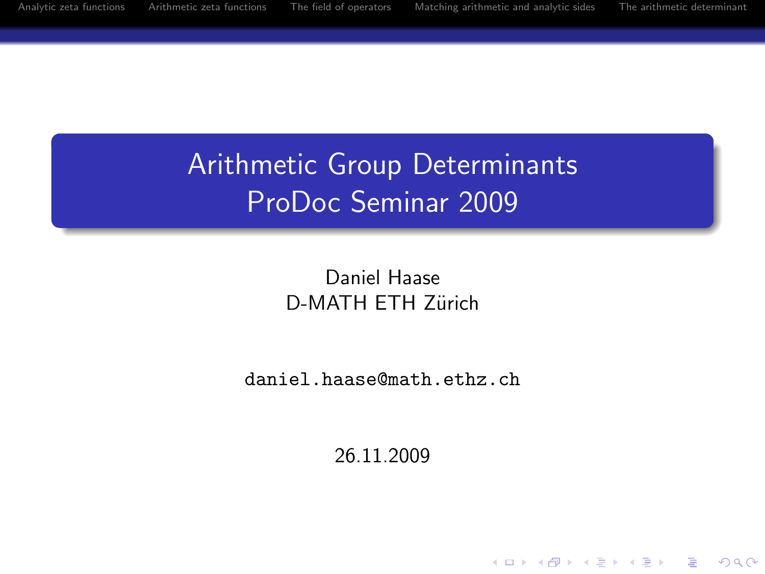**KORK ERKER ADAM ADA** 

# Arithmetic Group Determinants ProDoc Seminar 2009

Daniel Haase D-MATH ETH Zürich

daniel.haase@math.ethz.ch

26.11.2009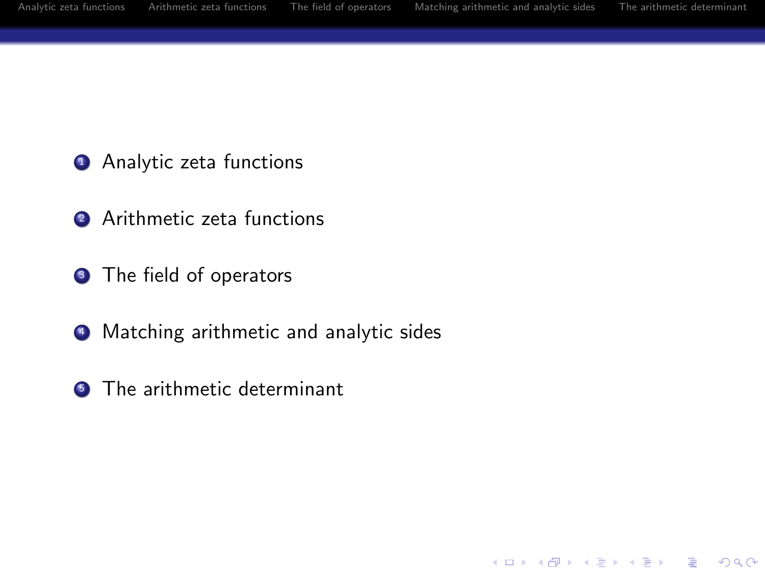K ロ ▶ K @ ▶ K 할 > K 할 > 1 할 > 1 이익어

- **4** Analytic zeta functions
- **2** Arithmetic zeta functions
- **3** The field of operators
- 4 Matching arithmetic and analytic sides
- **6** The arithmetic determinant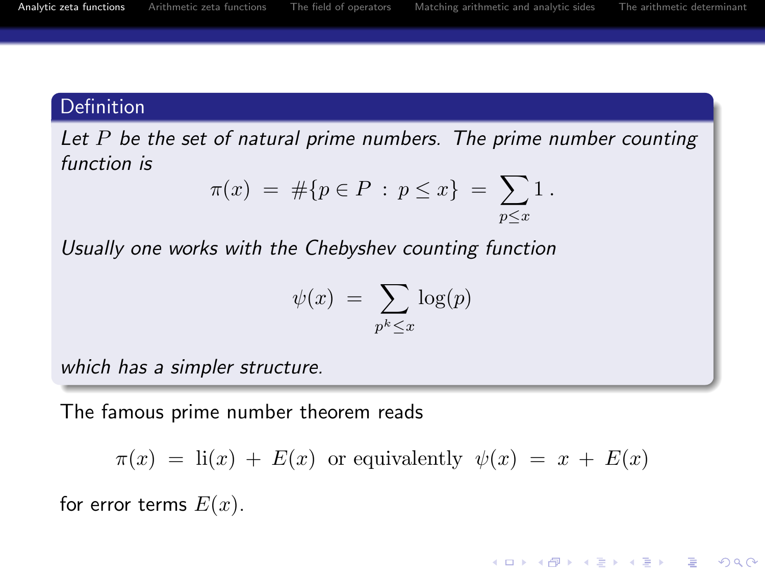**KORK STRAIN A BAR SHOP** 

# Definition

Let  $P$  be the set of natural prime numbers. The prime number counting function is

$$
\pi(x) = #\{p \in P : p \le x\} = \sum_{p \le x} 1.
$$

Usually one works with the Chebyshev counting function

$$
\psi(x) = \sum_{p^k \le x} \log(p)
$$

which has a simpler structure.

The famous prime number theorem reads

$$
\pi(x) = \text{li}(x) + E(x) \text{ or equivalently } \psi(x) = x + E(x)
$$

<span id="page-2-0"></span>for error terms  $E(x)$ .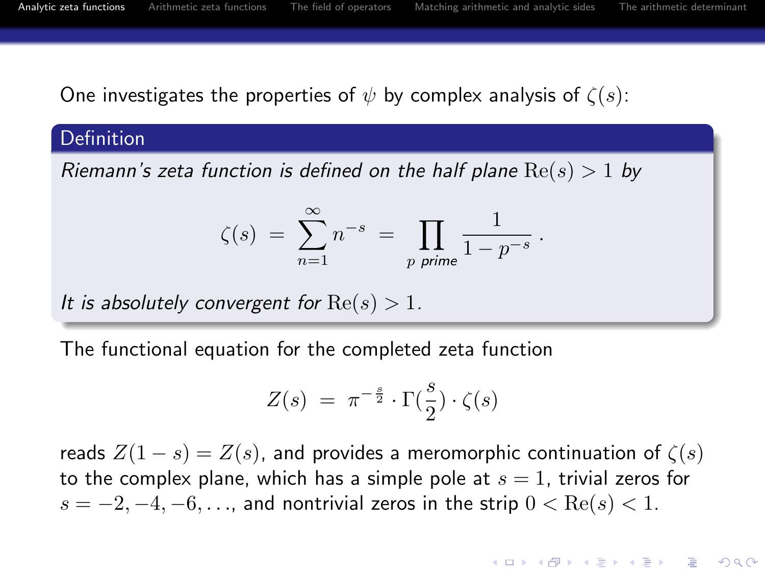.

**KORKARYKERKE POLO** 

One investigates the properties of  $\psi$  by complex analysis of  $\zeta(s)$ :

#### **Definition**

Riemann's zeta function is defined on the half plane  $Re(s) > 1$  by

$$
\zeta(s) = \sum_{n=1}^{\infty} n^{-s} = \prod_{p \text{ prime}} \frac{1}{1 - p^{-s}}
$$

It is absolutely convergent for  $Re(s) > 1$ .

The functional equation for the completed zeta function

$$
Z(s) = \pi^{-\frac{s}{2}} \cdot \Gamma(\frac{s}{2}) \cdot \zeta(s)
$$

reads  $Z(1-s) = Z(s)$ , and provides a meromorphic continuation of  $\zeta(s)$ to the complex plane, which has a simple pole at  $s = 1$ , trivial zeros for  $s = -2, -4, -6, \ldots$ , and nontrivial zeros in the strip  $0 < \text{Re}(s) < 1$ .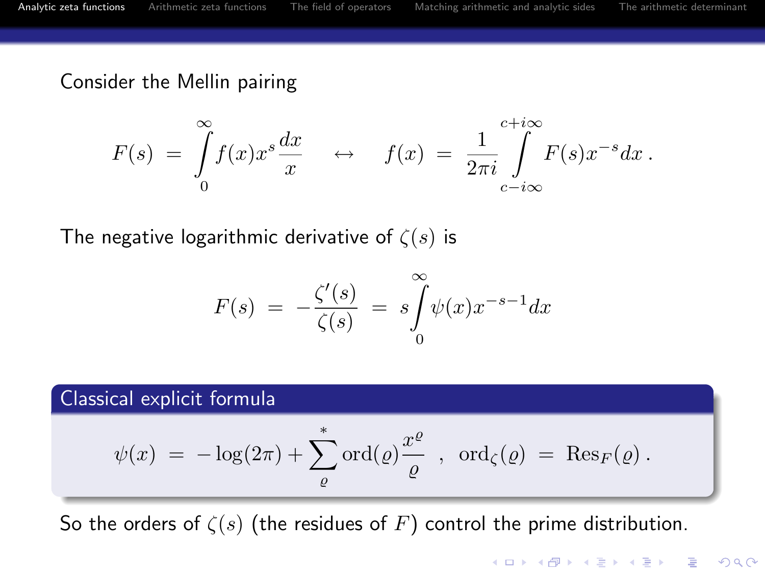Consider the Mellin pairing

$$
F(s) = \int_{0}^{\infty} f(x)x^{s} \frac{dx}{x} \quad \leftrightarrow \quad f(x) = \frac{1}{2\pi i} \int_{c-i\infty}^{c+i\infty} F(s)x^{-s}dx.
$$

The negative logarithmic derivative of  $\zeta(s)$  is

$$
F(s) = -\frac{\zeta'(s)}{\zeta(s)} = s \int_{0}^{\infty} \psi(x) x^{-s-1} dx
$$

#### Classical explicit formula

$$
\psi(x) = -\log(2\pi) + \sum_{\varrho}^* \text{ord}(\varrho) \frac{x^{\varrho}}{\varrho} , \text{ ord}_{\zeta}(\varrho) = \text{Res}_F(\varrho).
$$

So the orders of  $\zeta(s)$  (the residues of F) control the prime distribution.

**KORK ERKER ADAM ADA**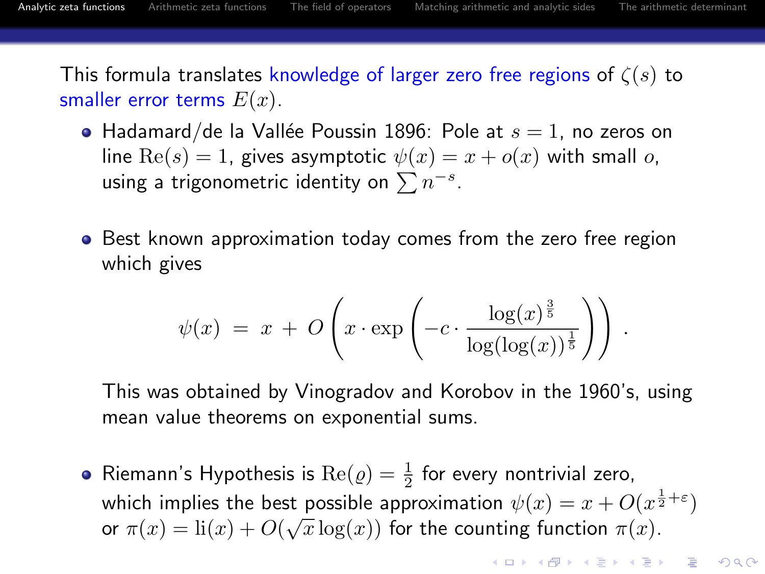**KORKAR KERKER E VOOR** 

This formula translates knowledge of larger zero free regions of  $\zeta(s)$  to smaller error terms  $E(x)$ .

- Hadamard/de la Vallée Poussin 1896: Pole at  $s = 1$ , no zeros on line  $\text{Re}(s) = 1$ , gives asymptotic  $\psi(x) = x + o(x)$  with small o, using a trigonometric identity on  $\sum n^{-s}$ .
- Best known approximation today comes from the zero free region which gives

$$
\psi(x) = x + O\left(x \cdot \exp\left(-c \cdot \frac{\log(x)^{\frac{3}{5}}}{\log(\log(x))^{\frac{1}{5}}}\right)\right).
$$

This was obtained by Vinogradov and Korobov in the 1960's, using mean value theorems on exponential sums.

Riemann's Hypothesis is  $\text{Re}(\varrho)=\frac{1}{2}$  for every nontrivial zero, which implies the best possible approximation  $\psi(x) = x + O(x^{\frac{1}{2} + \varepsilon})$ or  $\pi(x) = \text{li}(x) + O(\sqrt{x}\log(x))$  for the counting function  $\pi(x)$ .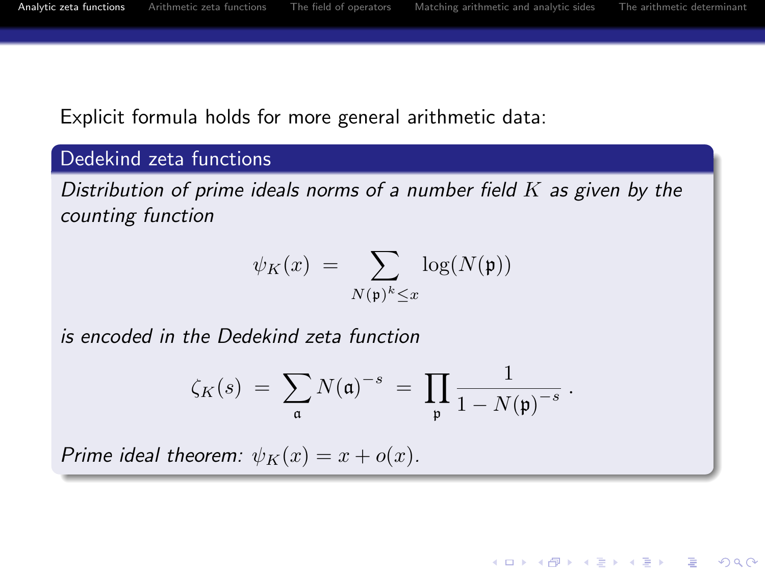.

**KORK STRAIN A BAR SHOP** 

Explicit formula holds for more general arithmetic data:

#### Dedekind zeta functions

Distribution of prime ideals norms of a number field  $K$  as given by the counting function

$$
\psi_K(x) = \sum_{N(\mathfrak{p})^k \leq x} \log(N(\mathfrak{p}))
$$

is encoded in the Dedekind zeta function

$$
\zeta_K(s) \; = \; \sum_{\mathfrak{a}} N(\mathfrak{a})^{-s} \; = \; \prod_{\mathfrak{p}} \frac{1}{1 - N(\mathfrak{p})^{-s}}
$$

Prime ideal theorem:  $\psi_K(x) = x + o(x)$ .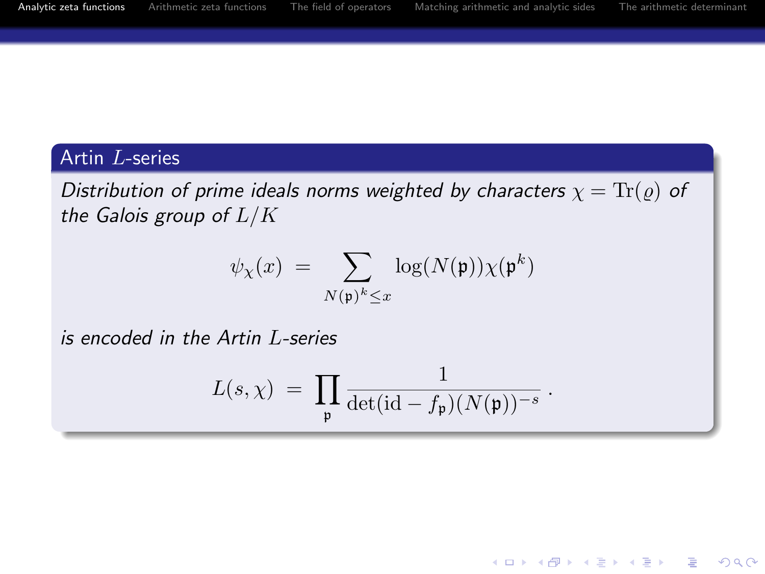#### Artin L-series

Distribution of prime ideals norms weighted by characters  $\chi = \text{Tr}(\varrho)$  of the Galois group of  $L/K$ 

$$
\psi_{\chi}(x) = \sum_{N(\mathfrak{p})^k \le x} \log(N(\mathfrak{p})) \chi(\mathfrak{p}^k)
$$

is encoded in the Artin L-series

$$
L(s,\chi) = \prod_{\mathfrak{p}} \frac{1}{\det(\mathrm{id} - f_{\mathfrak{p}})(N(\mathfrak{p}))^{-s}}.
$$

**KORK STRAIN A BAR SHOP**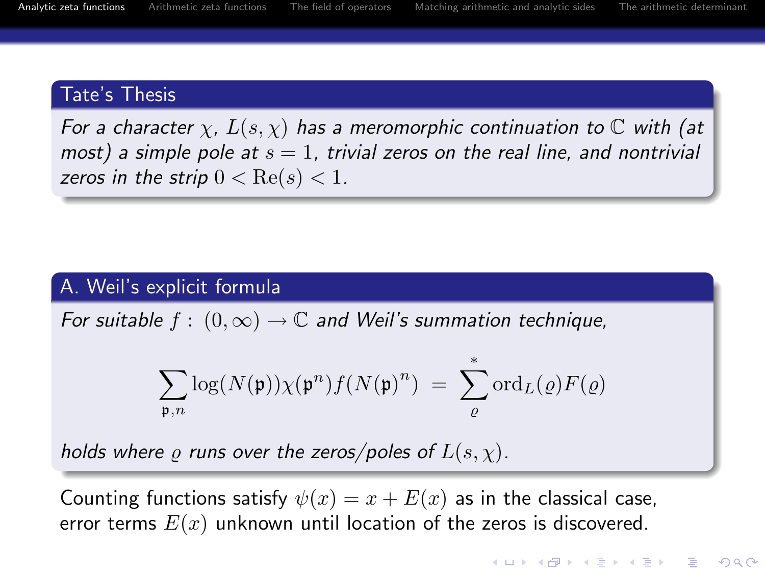# Tate's Thesis

For a character  $\chi$ ,  $L(s,\chi)$  has a meromorphic continuation to  $\mathbb C$  with (at most) a simple pole at  $s = 1$ , trivial zeros on the real line, and nontrivial zeros in the strip  $0 < \text{Re}(s) < 1$ .

# A. Weil's explicit formula

For suitable  $f : (0, \infty) \to \mathbb{C}$  and Weil's summation technique,

$$
\sum_{{\mathfrak{p}},n} \log(N({\mathfrak{p}})) \chi({\mathfrak{p}}^n) f(N({\mathfrak{p}})^n) \; = \; \sum_{\varrho}^* \mathrm{ord}_L(\varrho) F(\varrho)
$$

holds where  $\varrho$  runs over the zeros/poles of  $L(s, \chi)$ .

Counting functions satisfy  $\psi(x) = x + E(x)$  as in the classical case, error terms  $E(x)$  unknown until location of the zeros is discovered.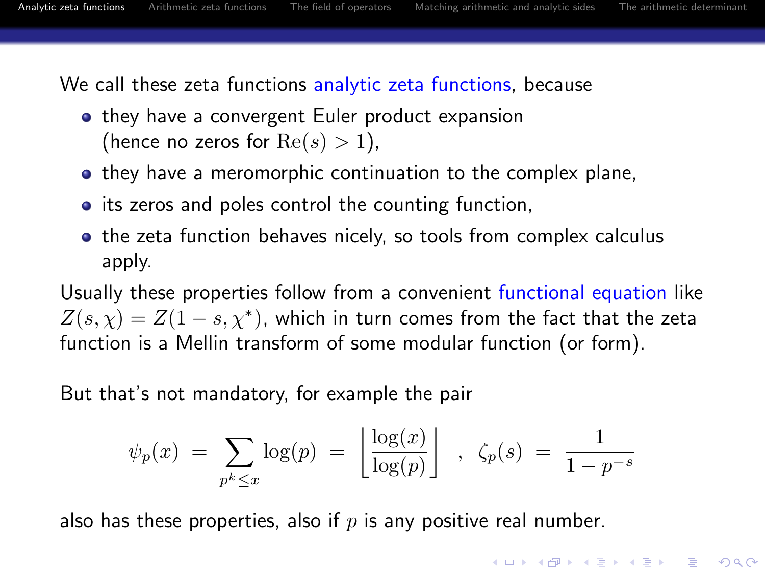We call these zeta functions analytic zeta functions, because

- they have a convergent Euler product expansion (hence no zeros for  $Re(s) > 1$ ),
- **•** they have a meromorphic continuation to the complex plane,
- its zeros and poles control the counting function,
- the zeta function behaves nicely, so tools from complex calculus apply.

Usually these properties follow from a convenient functional equation like  $Z(s,\chi)=Z(1-s,\chi^*)$ , which in turn comes from the fact that the zeta function is a Mellin transform of some modular function (or form).

But that's not mandatory, for example the pair

$$
\psi_p(x) = \sum_{p^k \leq x} \log(p) = \left\lfloor \frac{\log(x)}{\log(p)} \right\rfloor , \ \zeta_p(s) = \frac{1}{1 - p^{-s}}
$$

also has these properties, also if  $p$  is any positive real number.

**KORK ERKER ADE YOUR**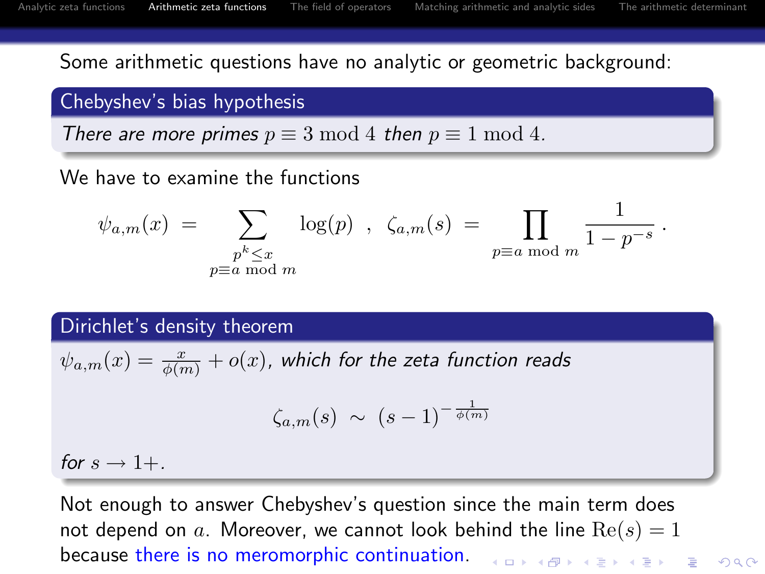Some arithmetic questions have no analytic or geometric background:

## Chebyshev's bias hypothesis

There are more primes  $p \equiv 3 \mod 4$  then  $p \equiv 1 \mod 4$ .

We have to examine the functions

$$
\psi_{a,m}(x) = \sum_{\substack{p^k \le x \\ p \equiv a \bmod m}} \log(p) , \ \zeta_{a,m}(s) = \prod_{p \equiv a \bmod m} \frac{1}{1 - p^{-s}} .
$$

Dirichlet's density theorem

$$
\psi_{a,m}(x) = \frac{x}{\phi(m)} + o(x)
$$
, which for the zeta function reads

$$
\zeta_{a,m}(s) \sim (s-1)^{-\frac{1}{\phi(m)}}
$$

for  $s \rightarrow 1+$ .

<span id="page-10-0"></span>Not enough to answer Chebyshev's question since the main term does not depend on a. Moreover, we cannot look behind the line  $Re(s) = 1$ because there is no meromorphic continuation.**KORK ERKER ADE YOUR**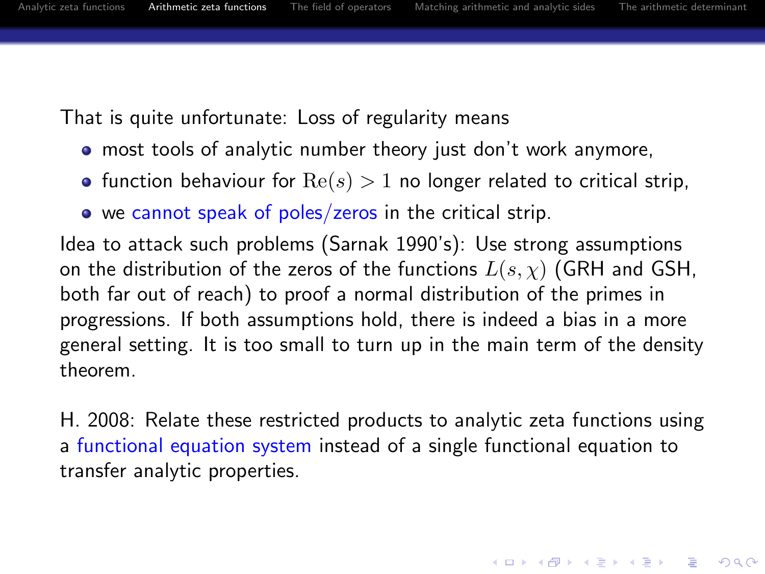That is quite unfortunate: Loss of regularity means

- most tools of analytic number theory just don't work anymore,
- function behaviour for  $\text{Re}(s) > 1$  no longer related to critical strip,
- we cannot speak of poles/zeros in the critical strip.

Idea to attack such problems (Sarnak 1990's): Use strong assumptions on the distribution of the zeros of the functions  $L(s, \chi)$  (GRH and GSH, both far out of reach) to proof a normal distribution of the primes in progressions. If both assumptions hold, there is indeed a bias in a more general setting. It is too small to turn up in the main term of the density theorem.

H. 2008: Relate these restricted products to analytic zeta functions using a functional equation system instead of a single functional equation to transfer analytic properties.

**KORKAR KERKER E VOOR**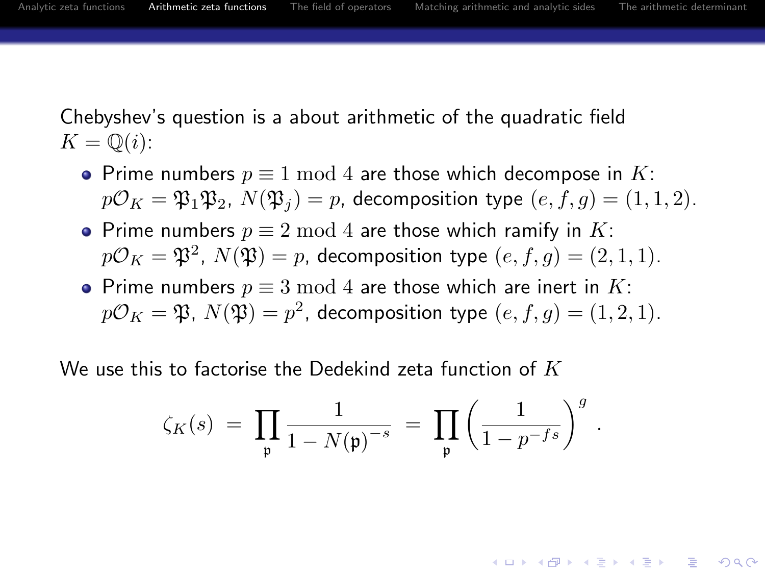.

**KORK ERKER ADE YOUR** 

Chebyshev's question is a about arithmetic of the quadratic field  $K = \mathbb{Q}(i)$ :

- Prime numbers  $p \equiv 1 \mod 4$  are those which decompose in K:  $p\mathcal{O}_K = \mathfrak{P}_1 \mathfrak{P}_2$ ,  $N(\mathfrak{P}_i) = p$ , decomposition type  $(e, f, g) = (1, 1, 2)$ .
- Prime numbers  $p \equiv 2 \mod 4$  are those which ramify in K:  $p\mathcal{O}_K = \mathfrak{P}^2$ ,  $N(\mathfrak{P}) = p$ , decomposition type  $(e,f,g) = (2,1,1)$ .
- Prime numbers  $p \equiv 3 \mod 4$  are those which are inert in K:  $p\mathcal{O}_K=\mathfrak{P},\ N(\mathfrak{P})=p^2$ , decomposition type  $(e,f,g)=(1,2,1).$

<span id="page-12-0"></span>We use this to factorise the Dedekind zeta function of  $K$ 

$$
\zeta_K(s)\;=\;\prod_{\mathfrak{p}}\frac{1}{1-N(\mathfrak{p})^{-s}}\;=\;\prod_{\mathfrak{p}}\left(\frac{1}{1-p^{-fs}}\right)^g
$$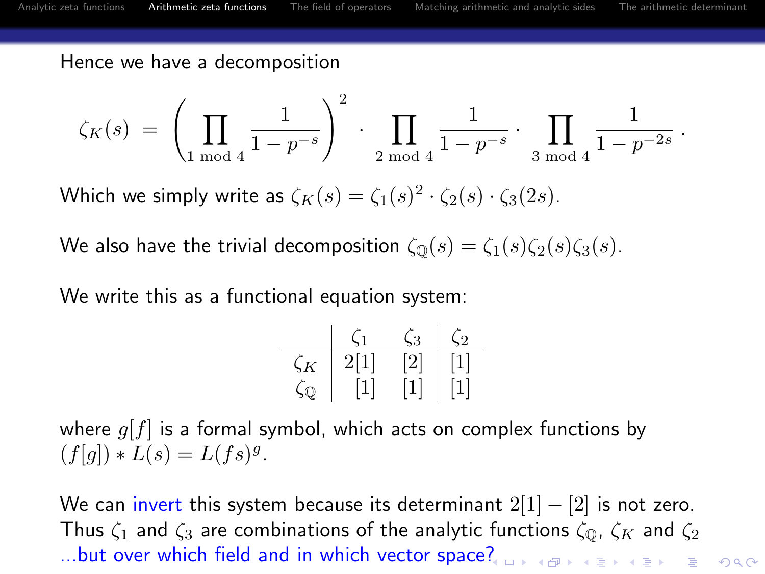Hence we have a decomposition

$$
\zeta_K(s) \;=\; \left(\prod_{1 \bmod 4} \frac{1}{1-p^{-s}}\right)^2 \; \cdot \; \prod_{2 \bmod 4} \frac{1}{1-p^{-s}} \; \cdot \; \prod_{3 \bmod 4} \frac{1}{1-p^{-2s}} \; .
$$

Which we simply write as  $\zeta_K(s) = \zeta_1(s)^2 \cdot \zeta_2(s) \cdot \zeta_3(2s)$ .

We also have the trivial decomposition  $\zeta_{\mathbb{Q}}(s) = \zeta_1(s)\zeta_2(s)\zeta_3(s)$ .

We write this as a functional equation system:

| ٠              | ×        | $\epsilon$ |
|----------------|----------|------------|
| $\vert$ 1<br>2 | $\Omega$ |            |
|                |          |            |

where  $g[f]$  is a formal symbol, which acts on complex functions by  $(f[g]) * L(s) = L(fs)^g.$ 

We can invert this system because its determinant  $2[1] - [2]$  is not zero. Thus  $\zeta_1$  and  $\zeta_3$  are combinations of the analytic functions  $\zeta_{\mathbb{Q}}$ ,  $\zeta_K$  and  $\zeta_2$ ...but over which field and in which vector space[?](#page-12-0)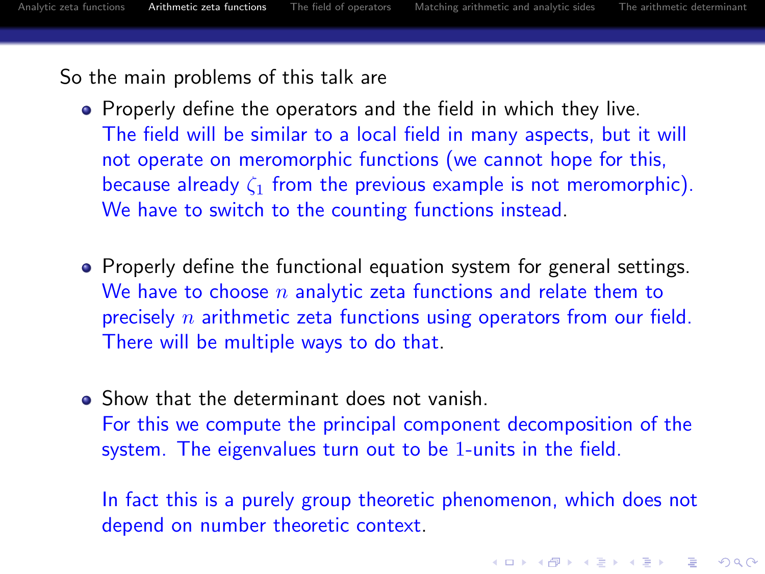4 D > 4 P + 4 B + 4 B + B + 9 Q O

So the main problems of this talk are

- **•** Properly define the operators and the field in which they live. The field will be similar to a local field in many aspects, but it will not operate on meromorphic functions (we cannot hope for this, because already  $\zeta_1$  from the previous example is not meromorphic). We have to switch to the counting functions instead.
- Properly define the functional equation system for general settings. We have to choose  $n$  analytic zeta functions and relate them to precisely  $n$  arithmetic zeta functions using operators from our field. There will be multiple ways to do that.
- Show that the determinant does not vanish. For this we compute the principal component decomposition of the system. The eigenvalues turn out to be 1-units in the field.

In fact this is a purely group theoretic phenomenon, which does not depend on number theoretic context.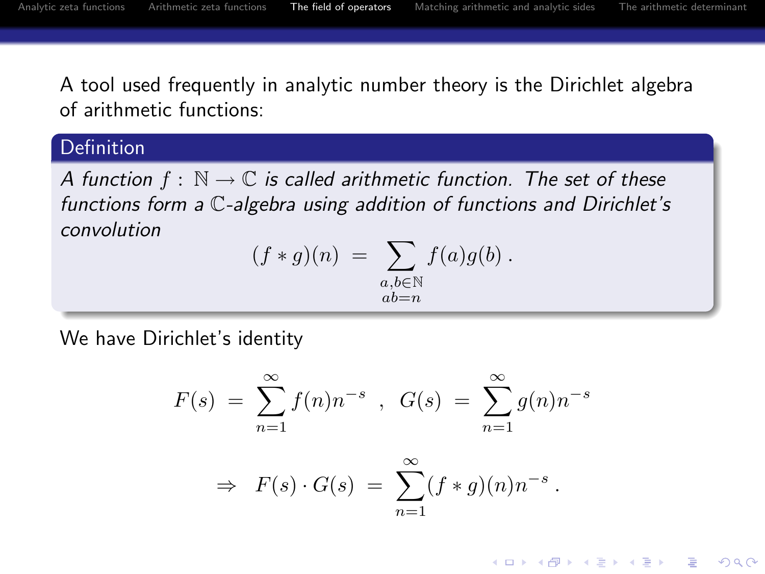**KORK STRAIN A BAR SHOP** 

A tool used frequently in analytic number theory is the Dirichlet algebra of arithmetic functions:

#### Definition

A function  $f : \mathbb{N} \to \mathbb{C}$  is called arithmetic function. The set of these functions form a C-algebra using addition of functions and Dirichlet's convolution

$$
(f * g)(n) = \sum_{\substack{a,b \in \mathbb{N} \\ ab = n}} f(a)g(b).
$$

<span id="page-15-0"></span>We have Dirichlet's identity

$$
F(s) = \sum_{n=1}^{\infty} f(n)n^{-s} , G(s) = \sum_{n=1}^{\infty} g(n)n^{-s}
$$

$$
\Rightarrow F(s) \cdot G(s) = \sum_{n=1}^{\infty} (f * g)(n) n^{-s}.
$$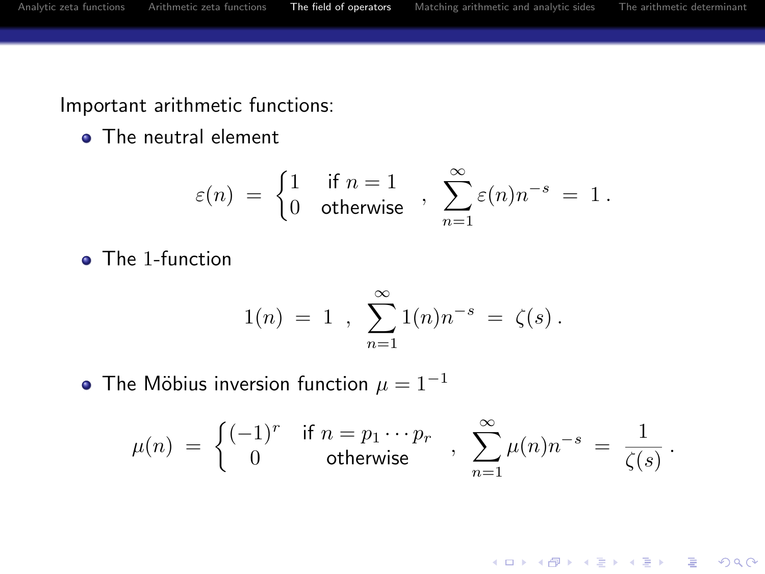Important arithmetic functions:

• The neutral element

$$
\varepsilon(n) = \begin{cases} 1 & \text{if } n = 1 \\ 0 & \text{otherwise} \end{cases}, \sum_{n=1}^{\infty} \varepsilon(n) n^{-s} = 1.
$$

• The 1-function

$$
1(n) = 1 , \sum_{n=1}^{\infty} 1(n)n^{-s} = \zeta(s) .
$$

• The Möbius inversion function  $\mu = 1^{-1}$ 

$$
\mu(n) \;=\; \left\{ \begin{matrix} (-1)^r & \text{if} \; n = p_1 \cdots p_r \\ 0 & \text{otherwise} \end{matrix} \right. \;,\;\; \sum_{n=1}^\infty \mu(n) n^{-s} \;=\; \frac{1}{\zeta(s)}\,.
$$

K ロ ▶ K @ ▶ K 할 ▶ K 할 ▶ | 할 | © 9 Q @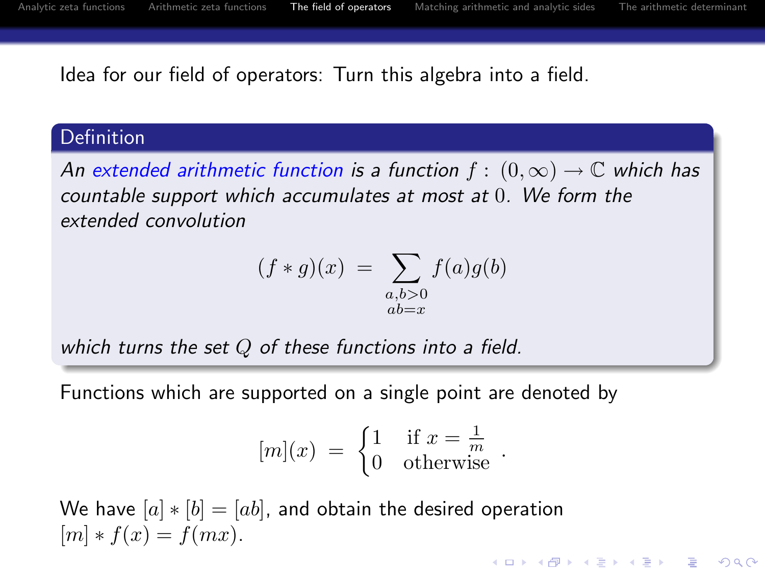Idea for our field of operators: Turn this algebra into a field.

#### Definition

An extended arithmetic function is a function  $f : (0, \infty) \to \mathbb{C}$  which has countable support which accumulates at most at 0. We form the extended convolution

$$
(f * g)(x) = \sum_{\substack{a,b>0\\ab=x}} f(a)g(b)
$$

which turns the set  $Q$  of these functions into a field.

Functions which are supported on a single point are denoted by

$$
[m](x) = \begin{cases} 1 & \text{if } x = \frac{1}{m} \\ 0 & \text{otherwise} \end{cases}.
$$

We have  $[a] * [b] = [ab]$ , and obtain the desired operation  $[m] * f(x) = f(mx).$ **K ロ ▶ K @ ▶ K 할 X X 할 X 및 할 X X Q Q O**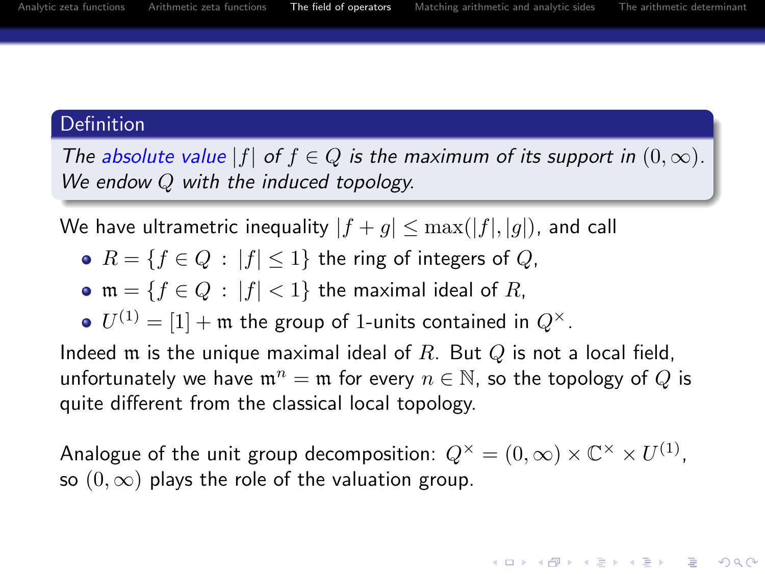#### **Definition**

The absolute value  $|f|$  of  $f \in Q$  is the maximum of its support in  $(0, \infty)$ . We endow  $Q$  with the induced topology.

We have ultrametric inequality  $|f + g| \leq \max(|f|, |g|)$ , and call

- $R = \{f \in Q : |f| \leq 1\}$  the ring of integers of  $Q$ ,
- $m = \{f \in Q : |f| < 1\}$  the maximal ideal of R,
- $U^{(1)} = [1] + \mathfrak{m}$  the group of 1-units contained in  $Q^\times.$

Indeed  $m$  is the unique maximal ideal of  $R$ . But  $Q$  is not a local field, unfortunately we have  $\mathfrak{m}^n = \mathfrak{m}$  for every  $n \in \mathbb{N}$ , so the topology of Q is quite different from the classical local topology.

Analogue of the unit group decomposition:  $Q^\times = (0,\infty) \times \mathbb C^\times \times U^{(1)}$ , so  $(0, \infty)$  plays the role of the valuation group.

**KORK ERKER ADE YOUR**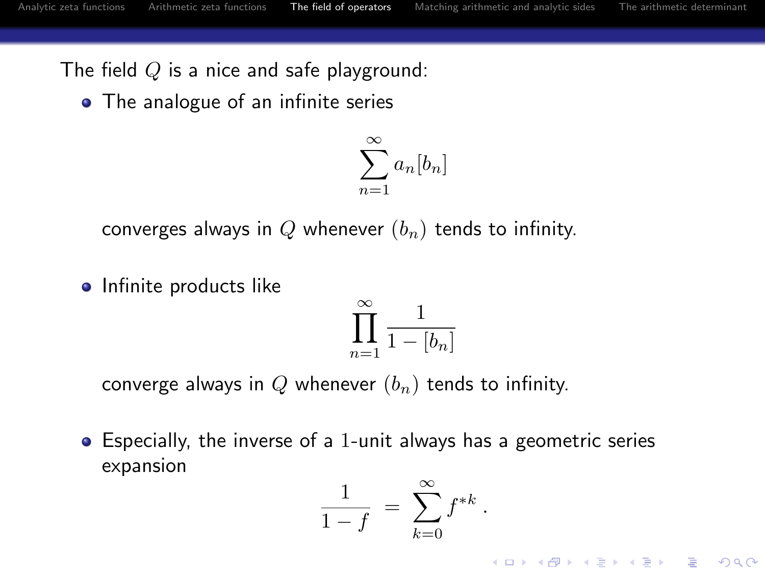The field  $Q$  is a nice and safe playground:

• The analogue of an infinite series

$$
\sum_{n=1}^{\infty} a_n [b_n]
$$

converges always in Q whenever  $(b_n)$  tends to infinity.

**o** Infinite products like

$$
\prod_{n=1}^{\infty} \frac{1}{1 - [b_n]}
$$

converge always in Q whenever  $(b_n)$  tends to infinity.

Especially, the inverse of a 1-unit always has a geometric series expansion

$$
\frac{1}{1-f} = \sum_{k=0}^{\infty} f^{*k}
$$

.

**KORK ERKER ADE YOUR**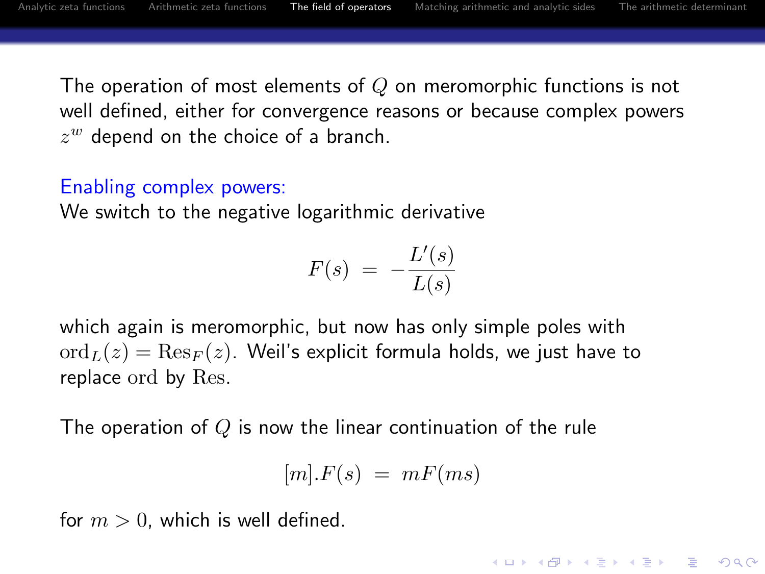**KORK ERKER ADE YOUR** 

The operation of most elements of  $Q$  on meromorphic functions is not well defined, either for convergence reasons or because complex powers  $z^w$  depend on the choice of a branch.

## Enabling complex powers:

We switch to the negative logarithmic derivative

$$
F(s) = -\frac{L'(s)}{L(s)}
$$

which again is meromorphic, but now has only simple poles with  $\mathrm{ord}_L(z) = \mathrm{Res}_F(z)$ . Weil's explicit formula holds, we just have to replace ord by Res.

The operation of  $Q$  is now the linear continuation of the rule

$$
[m].F(s) \ = \ mF(ms)
$$

for  $m > 0$ , which is well defined.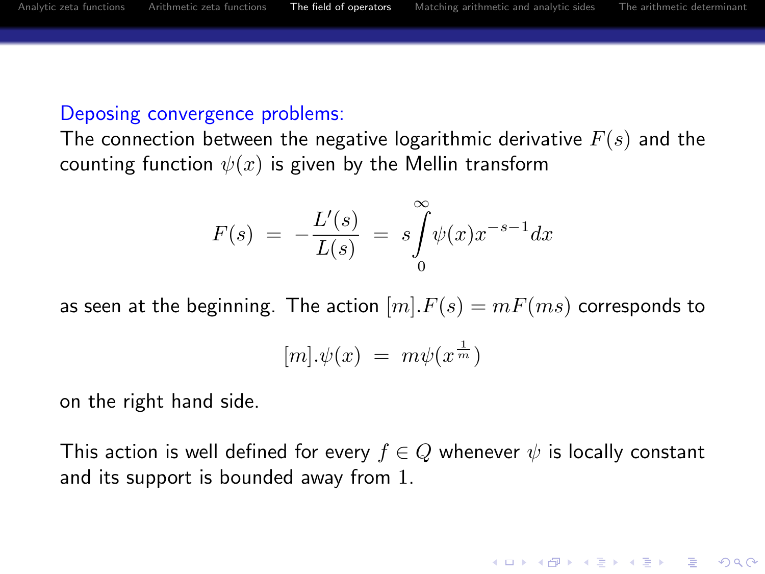#### Deposing convergence problems:

The connection between the negative logarithmic derivative  $F(s)$  and the counting function  $\psi(x)$  is given by the Mellin transform

$$
F(s) = -\frac{L'(s)}{L(s)} = s \int_{0}^{\infty} \psi(x) x^{-s-1} dx
$$

as seen at the beginning. The action  $[m]$ .  $F(s) = mF(ms)$  corresponds to

$$
[m].\psi(x) = m\psi(x^{\frac{1}{m}})
$$

on the right hand side.

This action is well defined for every  $f \in Q$  whenever  $\psi$  is locally constant and its support is bounded away from 1.

**KORK ERKER ADE YOUR**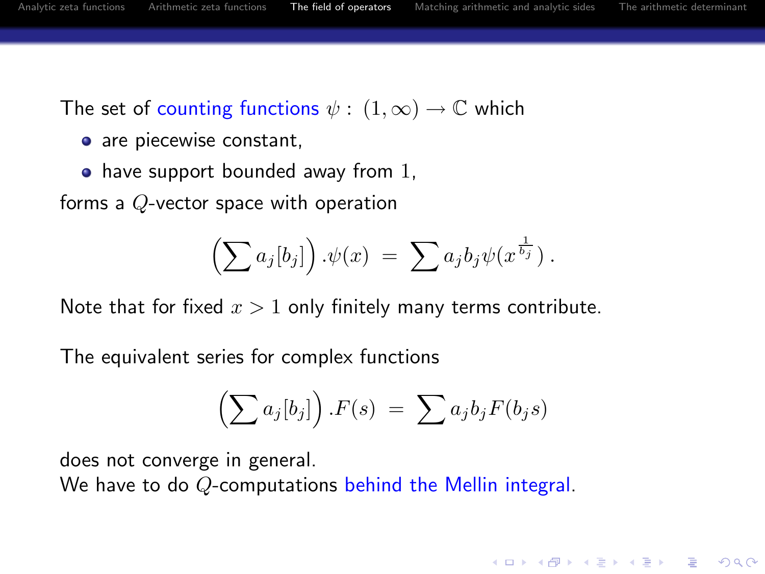**KORK ERKER ADE YOUR** 

The set of counting functions  $\psi : (1, \infty) \to \mathbb{C}$  which

- are piecewise constant,
- $\bullet$  have support bounded away from 1,

forms a Q-vector space with operation

$$
\left(\sum a_j[b_j]\right).\psi(x) = \sum a_jb_j\psi(x^{\frac{1}{b_j}}).
$$

Note that for fixed  $x > 1$  only finitely many terms contribute.

The equivalent series for complex functions

$$
\left(\sum a_j[b_j]\right).F(s) = \sum a_jb_jF(b_js)
$$

does not converge in general.

We have to do Q-computations behind the Mellin integral.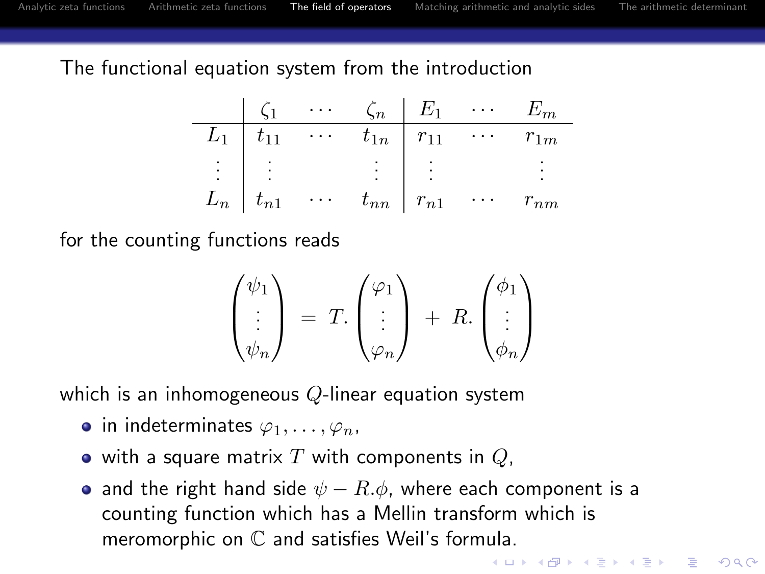The functional equation system from the introduction

| $\zeta_1$ | $\zeta_n$ | $E_1$    | $\cdots$ | $E_m$    |          |          |
|-----------|-----------|----------|----------|----------|----------|----------|
| $L_1$     | $t_{11}$  | $\cdots$ | $t_{1n}$ | $r_{11}$ | $\cdots$ | $r_{1m}$ |
| ...       | ...       | ...      | ...      | ...      | ...      |          |
| $L_n$     | $t_{n1}$  | $\cdots$ | $t_{nn}$ | $r_{n1}$ | $\cdots$ | $r_{nm}$ |

for the counting functions reads

$$
\begin{pmatrix} \psi_1 \\ \vdots \\ \psi_n \end{pmatrix} = T. \begin{pmatrix} \varphi_1 \\ \vdots \\ \varphi_n \end{pmatrix} + R. \begin{pmatrix} \phi_1 \\ \vdots \\ \phi_n \end{pmatrix}
$$

which is an inhomogeneous  $Q$ -linear equation system

- in indeterminates  $\varphi_1, \ldots, \varphi_n$ ,
- $\bullet$  with a square matrix T with components in Q,
- and the right hand side  $\psi R.\phi$ , where each component is a counting function which has a Mellin transform which is meromorphic on C and satisfies Weil's formula.

**KORK ERKER ADE YOUR**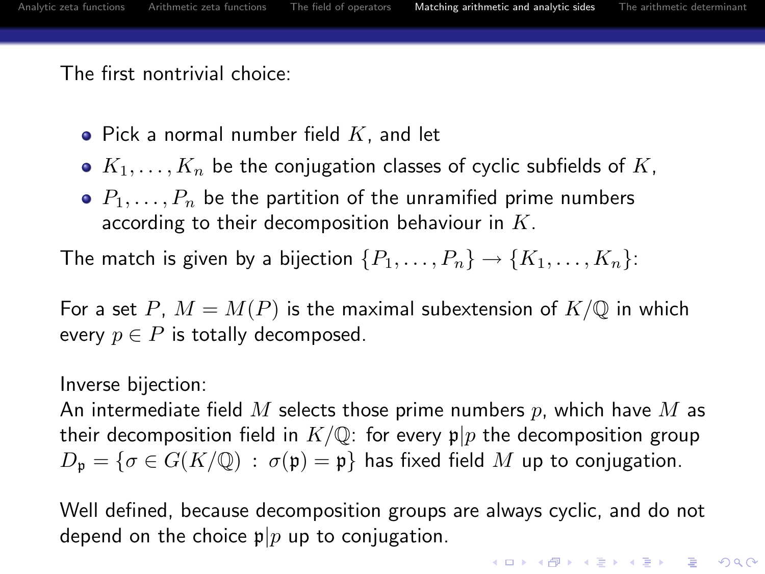The first nontrivial choice:

- $\bullet$  Pick a normal number field  $K$ , and let
- $K_1, \ldots, K_n$  be the conjugation classes of cyclic subfields of K,
- $\bullet$   $P_1, \ldots, P_n$  be the partition of the unramified prime numbers according to their decomposition behaviour in  $K$ .

The match is given by a bijection  $\{P_1, \ldots, P_n\} \rightarrow \{K_1, \ldots, K_n\}$ :

For a set P,  $M = M(P)$  is the maximal subextension of  $K/\mathbb{Q}$  in which every  $p \in P$  is totally decomposed.

Inverse bijection:

An intermediate field M selects those prime numbers p, which have M as their decomposition field in  $K/\mathbb{Q}$ : for every  $p|p$  the decomposition group  $D_p = \{\sigma \in G(K/\mathbb{Q}) : \sigma(p) = p\}$  has fixed field M up to conjugation.

<span id="page-24-0"></span>Well defined, because decomposition groups are always cyclic, and do not depend on the choice  $p|p$  up to conjugation.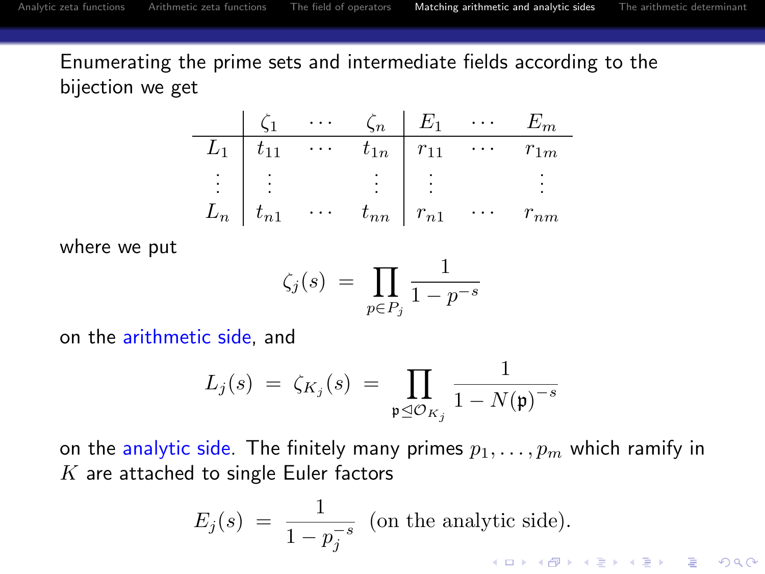Enumerating the prime sets and intermediate fields according to the bijection we get

| $\zeta_1$ | $\cdots$ | $\zeta_n$ | $E_1$    | $\cdots$ | $E_m$    |          |
|-----------|----------|-----------|----------|----------|----------|----------|
| $L_1$     | $t_{11}$ | $\cdots$  | $t_{1n}$ | $r_{11}$ | $\cdots$ | $r_{1m}$ |
| ...       | ...      | ...       | ...      | ...      | ...      |          |
| $L_n$     | $t_{n1}$ | $\cdots$  | $t_{nn}$ | $r_{n1}$ | $\cdots$ | $r_{nm}$ |

where we put

$$
\zeta_j(s) \ = \ \prod_{p \in P_j} \frac{1}{1 - p^{-s}}
$$

on the arithmetic side, and

$$
L_j(s) \ = \ \zeta_{K_j}(s) \ = \ \prod_{\mathfrak{p} \trianglelefteq \mathcal{O}_{K_j}} \frac{1}{1 - N(\mathfrak{p})^{-s}}
$$

on the analytic side. The finitely many primes  $p_1, \ldots, p_m$  which ramify in  $K$  are attached to single Euler factors

$$
E_j(s) = \frac{1}{1 - p_j^{-s}} \text{ (on the analytic side)}.
$$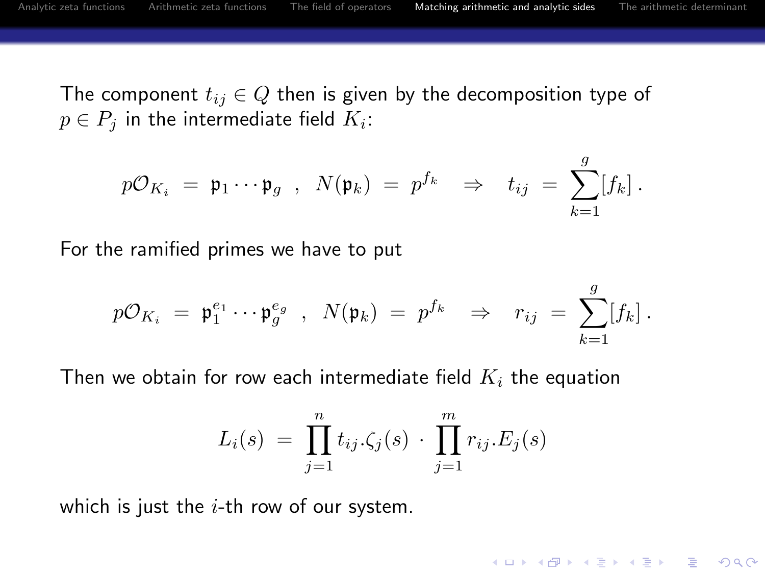**KORK ERKER ADE YOUR** 

The component  $t_{ij} \in Q$  then is given by the decomposition type of  $p \in P_j$  in the intermediate field  $K_i$ :

$$
p\mathcal{O}_{K_i} = \mathfrak{p}_1 \cdots \mathfrak{p}_g \; , \; N(\mathfrak{p}_k) = p^{f_k} \; \Rightarrow \; t_{ij} = \sum_{k=1}^g [f_k] \, .
$$

For the ramified primes we have to put

$$
p\mathcal{O}_{K_i} = \mathfrak{p}_1^{e_1} \cdots \mathfrak{p}_g^{e_g} , N(\mathfrak{p}_k) = p^{f_k} \Rightarrow r_{ij} = \sum_{k=1}^g [f_k].
$$

Then we obtain for row each intermediate field  $K_i$  the equation

$$
L_i(s) = \prod_{j=1}^n t_{ij} \cdot \zeta_j(s) \cdot \prod_{j=1}^m r_{ij} \cdot E_j(s)
$$

which is just the  $i$ -th row of our system.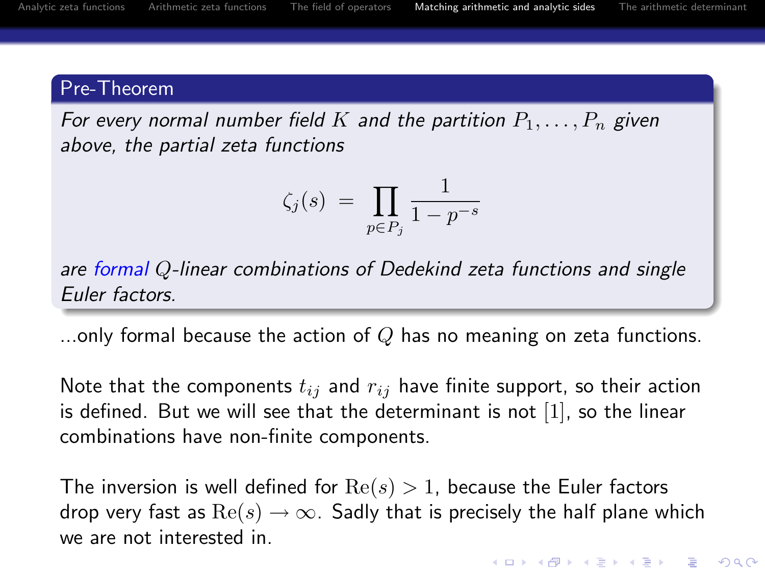# Pre-Theorem

For every normal number field K and the partition  $P_1, \ldots, P_n$  given above, the partial zeta functions

$$
\zeta_j(s) \ = \ \prod_{p \in P_j} \frac{1}{1 - p^{-s}}
$$

are formal Q-linear combinations of Dedekind zeta functions and single Euler factors.

...only formal because the action of  $Q$  has no meaning on zeta functions.

Note that the components  $t_{ij}$  and  $r_{ij}$  have finite support, so their action is defined. But we will see that the determinant is not [1], so the linear combinations have non-finite components.

The inversion is well defined for  $Re(s) > 1$ , because the Euler factors drop very fast as  $\text{Re}(s) \rightarrow \infty$ . Sadly that is precisely the half plane which we are not interested in.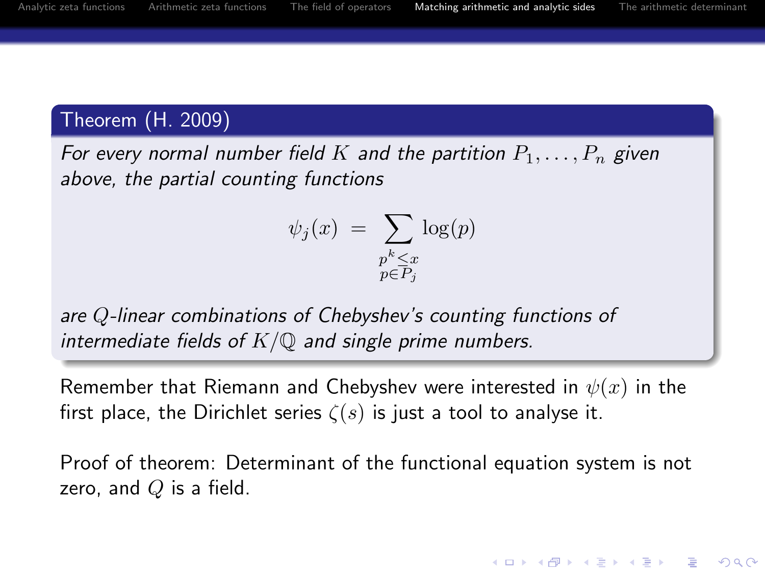**KORK ERKER ADE YOUR** 

# Theorem (H. 2009)

For every normal number field K and the partition  $P_1, \ldots, P_n$  given above, the partial counting functions

$$
\psi_j(x) = \sum_{\substack{p^k \le x \\ p \in P_j}} \log(p)
$$

are Q-linear combinations of Chebyshev's counting functions of intermediate fields of  $K/\mathbb{Q}$  and single prime numbers.

Remember that Riemann and Chebyshev were interested in  $\psi(x)$  in the first place, the Dirichlet series  $\zeta(s)$  is just a tool to analyse it.

Proof of theorem: Determinant of the functional equation system is not zero, and  $Q$  is a field.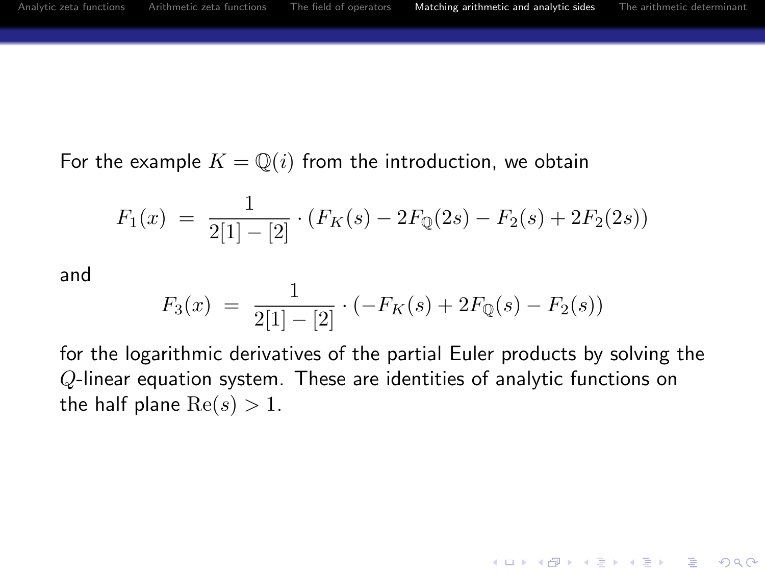For the example  $K = \mathbb{Q}(i)$  from the introduction, we obtain

$$
F_1(x) = \frac{1}{2[1] - [2]} \cdot (F_K(s) - 2F_{\mathbb{Q}}(2s) - F_2(s) + 2F_2(2s))
$$

and

$$
F_3(x) = \frac{1}{2[1] - [2]} \cdot (-F_K(s) + 2F_{\mathbb{Q}}(s) - F_2(s))
$$

for the logarithmic derivatives of the partial Euler products by solving the Q-linear equation system. These are identities of analytic functions on the half plane  $Re(s) > 1$ .

**KORK EX KEY CRACK**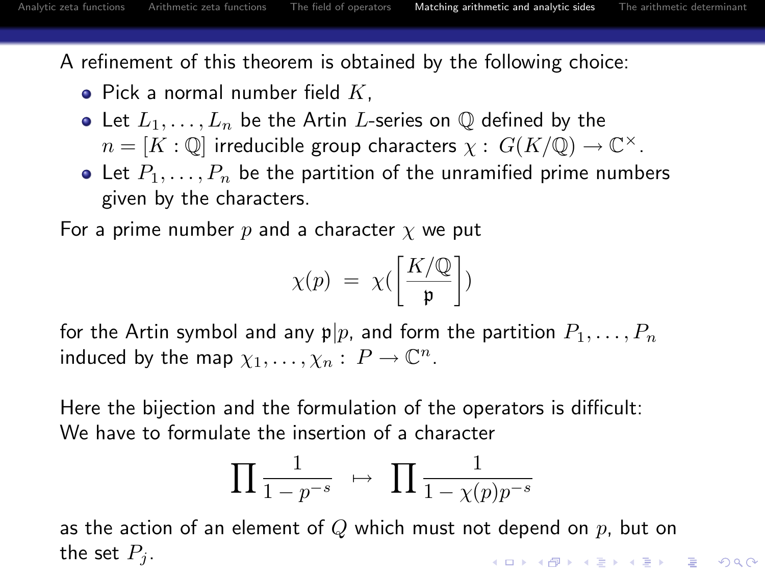A refinement of this theorem is obtained by the following choice:

- $\bullet$  Pick a normal number field K.
- Let  $L_1, \ldots, L_n$  be the Artin L-series on  $\mathbb Q$  defined by the  $n = [K : \mathbb{Q}]$  irreducible group characters  $\chi : G(K/\mathbb{Q}) \to \mathbb{C}^{\times}$ .
- Let  $P_1, \ldots, P_n$  be the partition of the unramified prime numbers given by the characters.

For a prime number p and a character  $\chi$  we put

$$
\chi(p) = \chi\left(\frac{K/\mathbb{Q}}{\mathfrak{p}}\right)
$$

for the Artin symbol and any  $p|p$ , and form the partition  $P_1, \ldots, P_n$ induced by the map  $\chi_1, \ldots, \chi_n : P \to \mathbb{C}^n$ .

Here the bijection and the formulation of the operators is difficult: We have to formulate the insertion of a character

$$
\prod \frac{1}{1-p^{-s}} \quad \mapsto \quad \prod \frac{1}{1-\chi(p)p^{-s}}
$$

as the action of an element of Q which must not depend on  $p$ , but on the set  $P_i$ . **KORK ERKER ADAM ADA**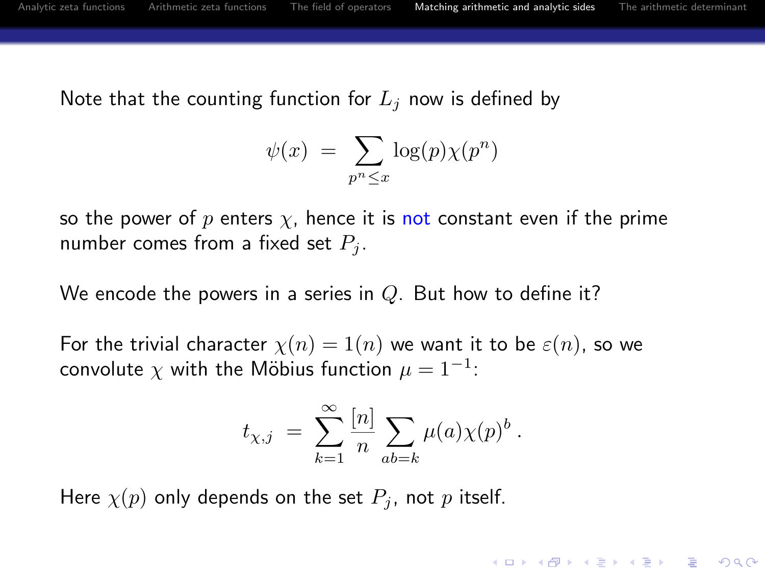**KORK ERKER ADAM ADA** 

Note that the counting function for  $L_i$  now is defined by

$$
\psi(x) = \sum_{p^n \le x} \log(p) \chi(p^n)
$$

so the power of p enters  $\chi$ , hence it is not constant even if the prime number comes from a fixed set  $P_i$ .

We encode the powers in a series in  $Q$ . But how to define it?

For the trivial character  $\chi(n) = 1(n)$  we want it to be  $\varepsilon(n)$ , so we convolute  $\chi$  with the Möbius function  $\mu=1^{-1}$ :

$$
t_{\chi,j} \; = \; \sum_{k=1}^\infty \frac{[n]}{n} \sum_{ab=k} \mu(a) \chi(p)^b \; .
$$

Here  $\chi(p)$  only depends on the set  $P_i$ , not p itself.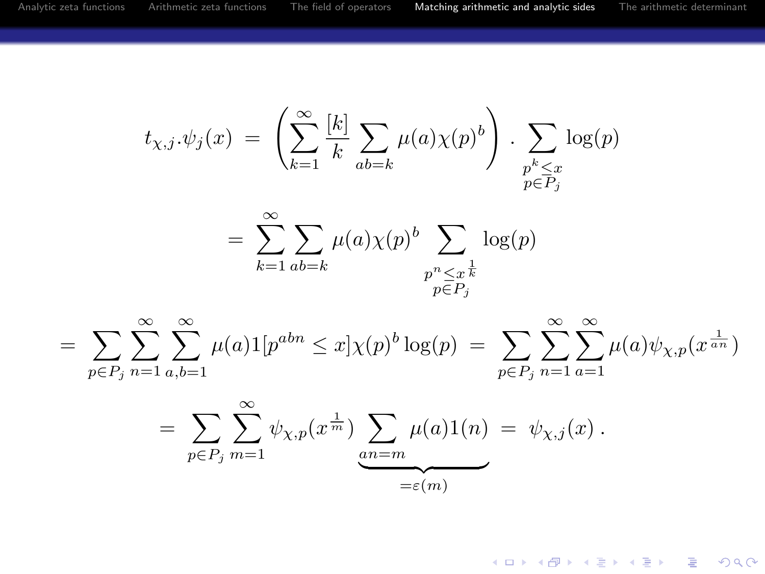$$
t_{\chi,j}.\psi_j(x) = \left(\sum_{k=1}^{\infty} \frac{[k]}{k} \sum_{ab=k} \mu(a)\chi(p)^b\right) \cdot \sum_{\substack{p^k \leq x \\ p \in P_j}} \log(p)
$$

$$
= \sum_{k=1}^{\infty} \sum_{ab=k} \mu(a)\chi(p)^b \sum_{\substack{p^n \leq x^{\frac{1}{k}} \\ p \in P_j}} \log(p)
$$

 $=\sum_{n=1}^{\infty}\sum_{n=1}^{\infty}\mu(a)1[p^{abn}\leq x]\chi(p)^b\log(p)=\sum_{n=1}^{\infty}\sum_{n=1}^{\infty}\mu(a)\psi_{\chi,p}(x^{\frac{1}{a\cdot n}})$  $p \in P_j$  n=1 a,b=1  $p \in P_j$  n=1 a=1

$$
= \sum_{p \in P_j} \sum_{m=1}^{\infty} \psi_{\chi, p}(x^{\frac{1}{m}}) \underbrace{\sum_{an=m} \mu(a) 1(n)}_{= \varepsilon(m)} = \psi_{\chi, j}(x) .
$$

**KORK STRAIN A BAR SHOP**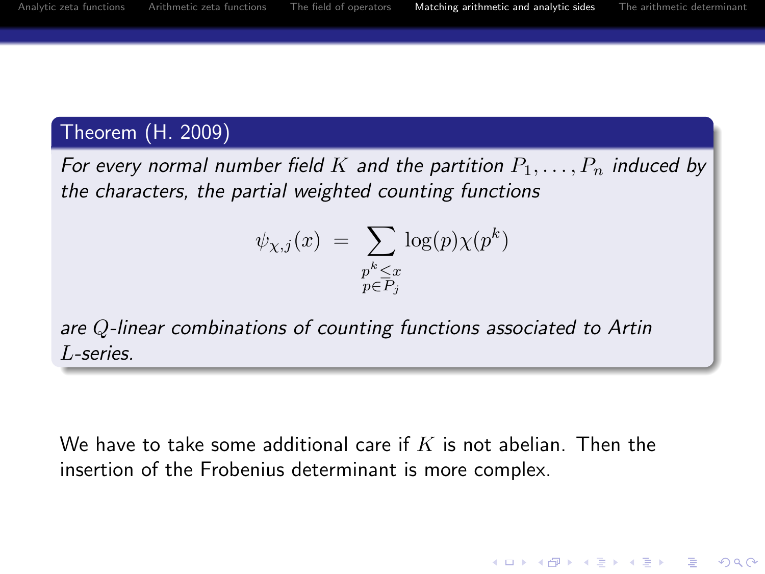**KORK ERKER ADAM ADA** 

# Theorem (H. 2009)

For every normal number field K and the partition  $P_1, \ldots, P_n$  induced by the characters, the partial weighted counting functions

$$
\psi_{\chi,j}(x) = \sum_{\substack{p^k \le x \\ p \in P_j}} \log(p) \chi(p^k)
$$

are Q-linear combinations of counting functions associated to Artin L-series.

We have to take some additional care if  $K$  is not abelian. Then the insertion of the Frobenius determinant is more complex.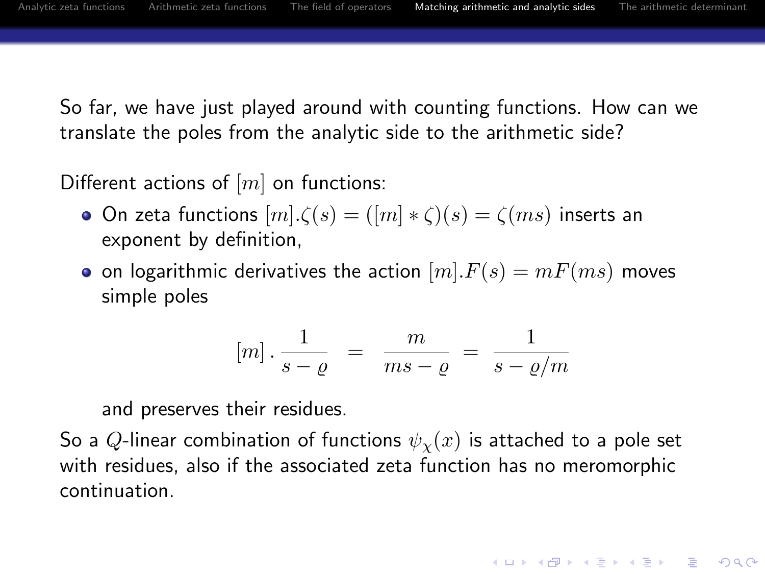So far, we have just played around with counting functions. How can we translate the poles from the analytic side to the arithmetic side?

Different actions of  $[m]$  on functions:

- On zeta functions  $[m] \cdot \zeta(s) = ([m] * \zeta)(s) = \zeta(ms)$  inserts an exponent by definition,
- on logarithmic derivatives the action  $[m].F(s) = mF(ms)$  moves simple poles

$$
[m] \cdot \frac{1}{s-\varrho} = \frac{m}{ms-\varrho} = \frac{1}{s-\varrho/m}
$$

**KORK ERKER ADAM ADA** 

and preserves their residues.

So a Q-linear combination of functions  $\psi_{\chi}(x)$  is attached to a pole set with residues, also if the associated zeta function has no meromorphic continuation.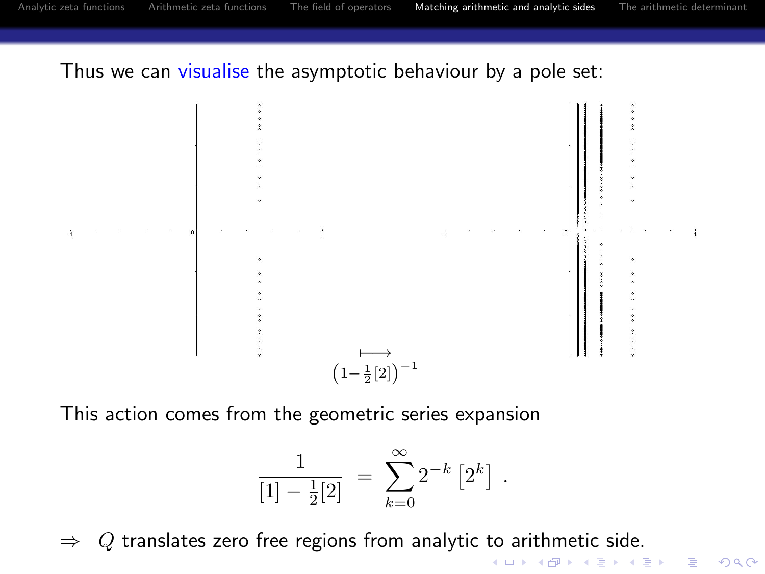Thus we can visualise the asymptotic behaviour by a pole set:



This action comes from the geometric series expansion

$$
\frac{1}{[1] - \frac{1}{2}[2]} = \sum_{k=0}^{\infty} 2^{-k} [2^k].
$$

 $\Rightarrow$  Q translates zero free regions from analytic to arithmetic side.<br>  $\Rightarrow$  Q translates zero free regions from analytic to arithmetic side.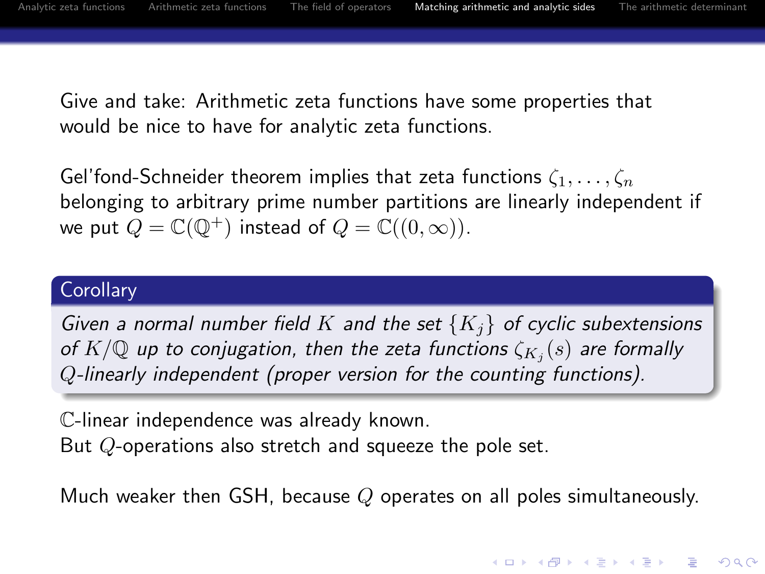**KORKARYKERKE POLO** 

Give and take: Arithmetic zeta functions have some properties that would be nice to have for analytic zeta functions.

Gel'fond-Schneider theorem implies that zeta functions  $\zeta_1, \ldots, \zeta_n$ belonging to arbitrary prime number partitions are linearly independent if we put  $Q = \mathbb{C}(\mathbb{Q}^+)$  instead of  $Q = \mathbb{C}((0,\infty))$ .

#### **Corollary**

Given a normal number field K and the set  $\{K_i\}$  of cyclic subextensions of  $K/\mathbb{Q}$  up to conjugation, then the zeta functions  $\zeta_{K_j}(s)$  are formally Q-linearly independent (proper version for the counting functions).

C-linear independence was already known. But Q-operations also stretch and squeeze the pole set.

Much weaker then GSH, because  $Q$  operates on all poles simultaneously.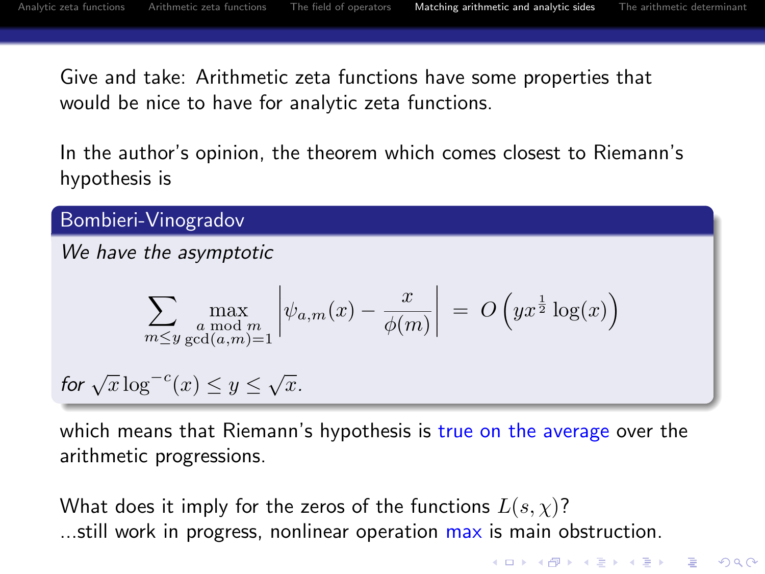Give and take: Arithmetic zeta functions have some properties that would be nice to have for analytic zeta functions.

In the author's opinion, the theorem which comes closest to Riemann's hypothesis is

Bombieri-Vinogradov

We have the asymptotic

$$
\sum_{m \leq y} \max_{\substack{a \bmod m \\ \gcd(a,m)=1}} \left| \psi_{a,m}(x) - \frac{x}{\phi(m)} \right| = O\left(yx^{\frac{1}{2}} \log(x)\right)
$$

for 
$$
\sqrt{x} \log^{-c}(x) \leq y \leq \sqrt{x}
$$
.

which means that Riemann's hypothesis is true on the average over the arithmetic progressions.

<span id="page-37-0"></span>What does it imply for the zeros of the functions  $L(s, \chi)$ ? ...still work in progress, nonlinear operation max is main obstruction.

**KORK ERKER ADAM ADA**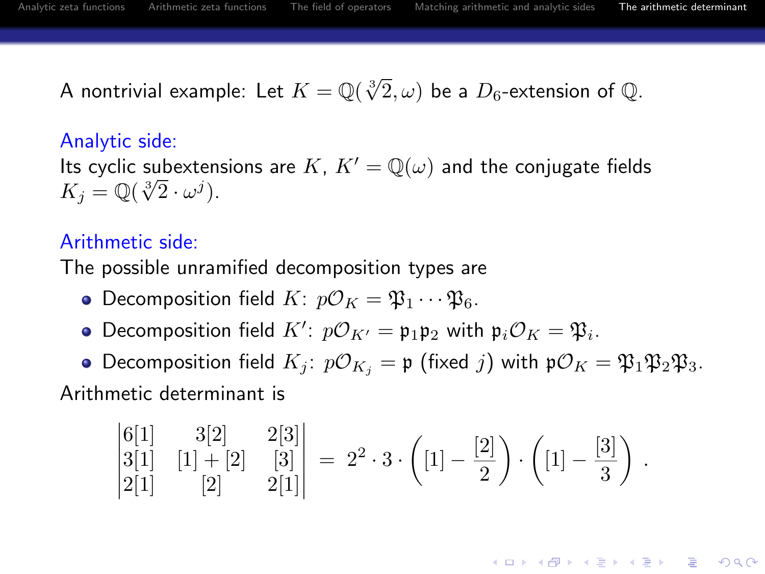**KORKARA KERKER SAGA** 

A nontrivial example: Let  $K = \mathbb{Q}(\sqrt[3]{2}, \omega)$  be a  $D_6$ -extension of  $\mathbb{Q}.$ 

#### Analytic side:

Its cyclic subextensions are K,  $K' = \mathbb{Q}(\omega)$  and the conjugate fields its cyclic subextent<br>  $K_j = \mathbb{Q}(\sqrt[3]{2} \cdot \omega^j).$ 

## Arithmetic side:

The possible unramified decomposition types are

- Decomposition field  $K: p\mathcal{O}_K = \mathfrak{P}_1 \cdots \mathfrak{P}_6$ .
- Decomposition field  $K'$ :  $p\mathcal{O}_{K'} = \mathfrak{p}_1 \mathfrak{p}_2$  with  $\mathfrak{p}_i \mathcal{O}_K = \mathfrak{P}_i$ .
- **•** Decomposition field  $K_j$ :  $p\mathcal{O}_{K_j} = \mathfrak{p}$  (fixed j) with  $p\mathcal{O}_K = \mathfrak{P}_1 \mathfrak{P}_2 \mathfrak{P}_3$ .

<span id="page-38-0"></span>Arithmetic determinant is

$$
\begin{vmatrix} 6[1] & 3[2] & 2[3] \\ 3[1] & [1] + [2] & [3] \\ 2[1] & [2] & 2[1] \end{vmatrix} = 2^2 \cdot 3 \cdot \left( [1] - \frac{[2]}{2} \right) \cdot \left( [1] - \frac{[3]}{3} \right) .
$$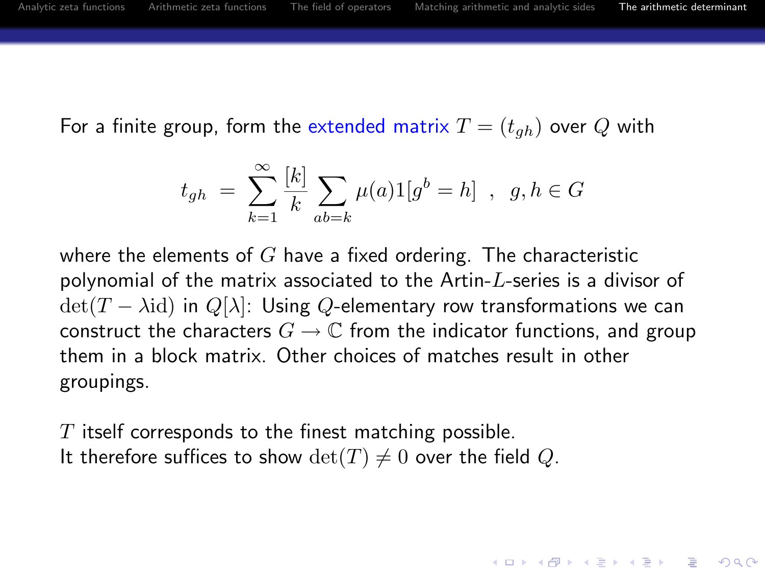For a finite group, form the extended matrix  $T = (t_{gh})$  over Q with

$$
t_{gh} \ = \ \sum_{k=1}^{\infty} \frac{[k]}{k} \sum_{ab=k} \mu(a) 1[g^b = h] \ \ , \ \ g,h \in G
$$

where the elements of  $G$  have a fixed ordering. The characteristic polynomial of the matrix associated to the Artin- $L$ -series is a divisor of  $\det(T - \lambda id)$  in  $Q[\lambda]$ : Using Q-elementary row transformations we can construct the characters  $G \to \mathbb{C}$  from the indicator functions, and group them in a block matrix. Other choices of matches result in other groupings.

**KORK ERKER ADAM ADA** 

 $T$  itself corresponds to the finest matching possible. It therefore suffices to show  $\det(T) \neq 0$  over the field Q.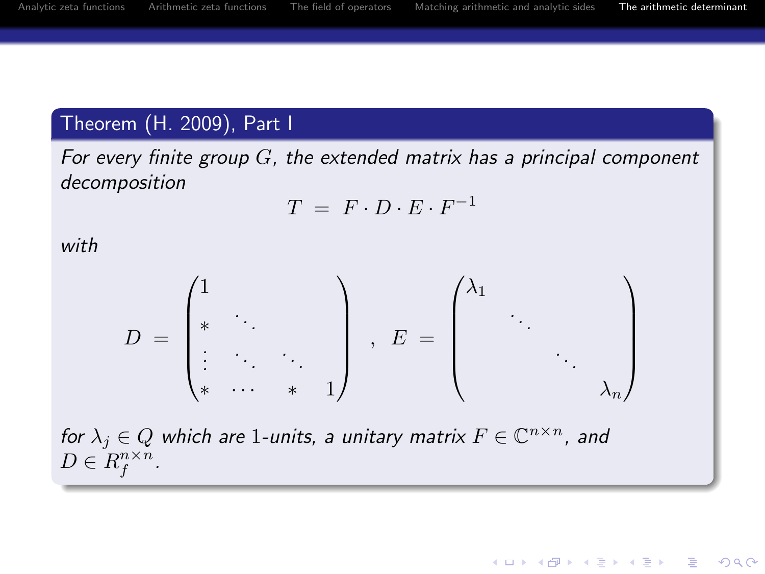**KORK ERKER ADAM ADA** 

# Theorem (H. 2009), Part I

For every finite group  $G$ , the extended matrix has a principal component decomposition

$$
T = F \cdot D \cdot E \cdot F^{-1}
$$

with

$$
D = \begin{pmatrix} 1 & & & \\ * & \ddots & & \\ \vdots & \ddots & \ddots & \\ * & \cdots & * & 1 \end{pmatrix} , E = \begin{pmatrix} \lambda_1 & & & \\ & \ddots & & \\ & & \ddots & \\ & & & \lambda_n \end{pmatrix}
$$

for  $\lambda_j \in Q$  which are 1-units, a unitary matrix  $F \in \mathbb{C}^{n \times n}$ , and  $D \in R_f^{n \times n}$ .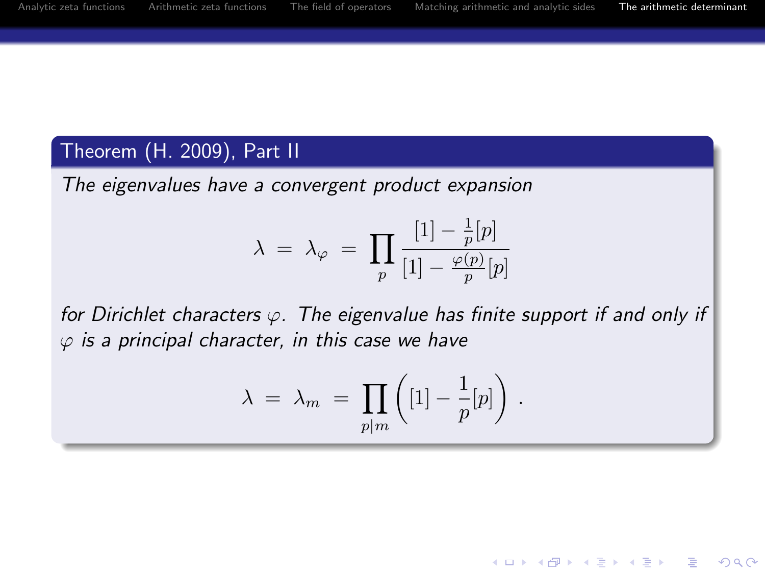E LIZER KENNED K

 $ORO$ 

# Theorem (H. 2009), Part II

The eigenvalues have a convergent product expansion

$$
\lambda \; = \; \lambda_\varphi \; = \; \prod_p \frac{[1] - \frac{1}{p}[p]}{[1] - \frac{\varphi(p)}{p}[p]}
$$

for Dirichlet characters  $\varphi$ . The eigenvalue has finite support if and only if  $\varphi$  is a principal character, in this case we have

$$
\lambda = \lambda_m = \prod_{p|m} \left( [1] - \frac{1}{p}[p] \right) .
$$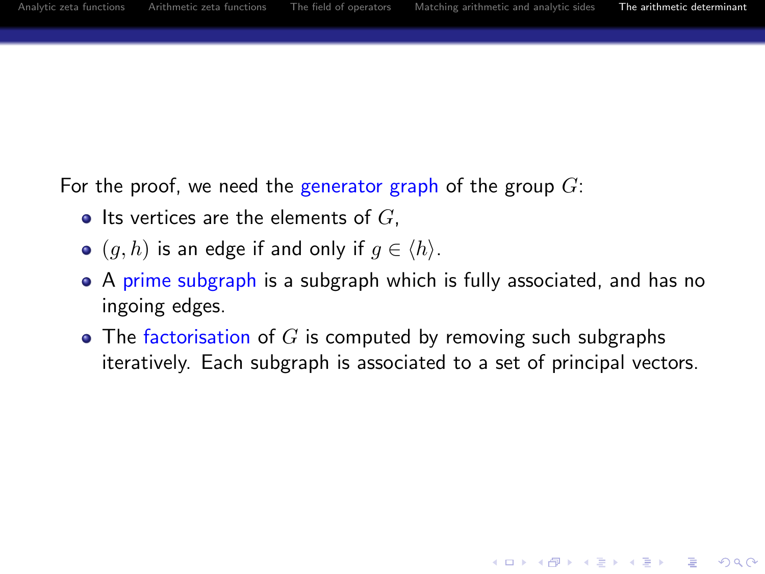For the proof, we need the generator graph of the group  $G$ :

- Its vertices are the elements of  $G$ .
- $\bullet$   $(g, h)$  is an edge if and only if  $g \in \langle h \rangle$ .
- A prime subgraph is a subgraph which is fully associated, and has no ingoing edges.
- $\bullet$  The factorisation of G is computed by removing such subgraphs iteratively. Each subgraph is associated to a set of principal vectors.

**KORK ERKER ADAM ADA**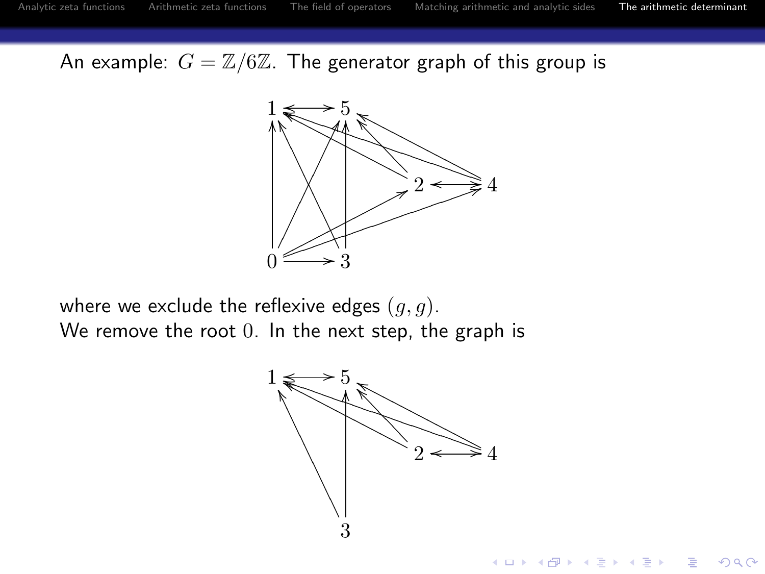An example:  $G = \mathbb{Z}/6\mathbb{Z}$ . The generator graph of this group is



where we exclude the reflexive edges  $(q, q)$ . We remove the root 0. In the next step, the graph is

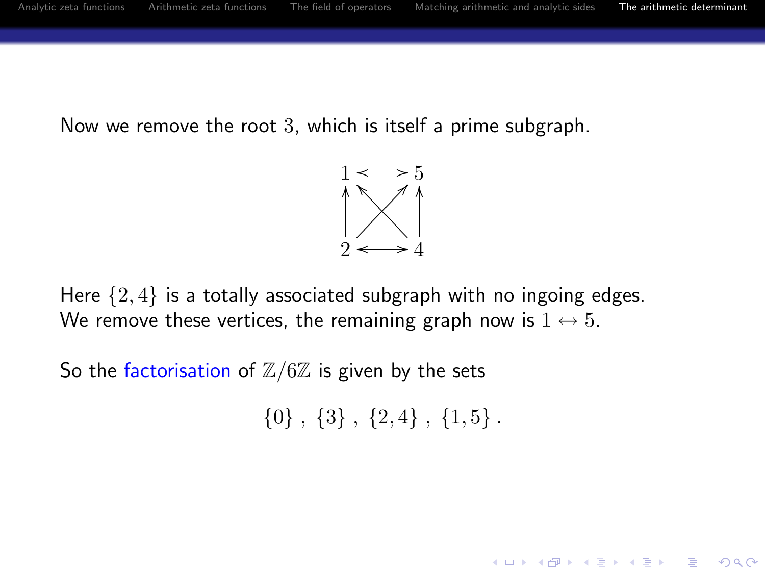Now we remove the root 3, which is itself a prime subgraph.



Here  $\{2, 4\}$  is a totally associated subgraph with no ingoing edges. We remove these vertices, the remaining graph now is  $1 \leftrightarrow 5$ .

So the factorisation of  $\mathbb{Z}/6\mathbb{Z}$  is given by the sets

 $\{0\}$ ,  $\{3\}$ ,  $\{2,4\}$ ,  $\{1,5\}$ .

**KORK ERKER ADAM ADA**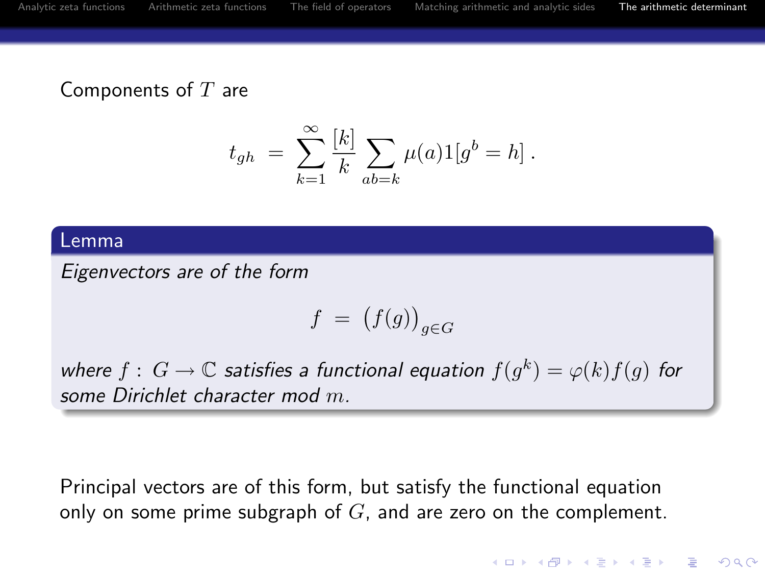Components of  $T$  are

$$
t_{gh} = \sum_{k=1}^{\infty} \frac{[k]}{k} \sum_{ab=k} \mu(a) 1[g^b = h].
$$

#### Lemma

Eigenvectors are of the form

$$
f\ =\ \big(f(g)\big)_{g\in G}
$$

where  $f: G \to \mathbb{C}$  satisfies a functional equation  $f(g^k) = \varphi(k) f(g)$  for some Dirichlet character mod m.

Principal vectors are of this form, but satisfy the functional equation only on some prime subgraph of  $G$ , and are zero on the complement.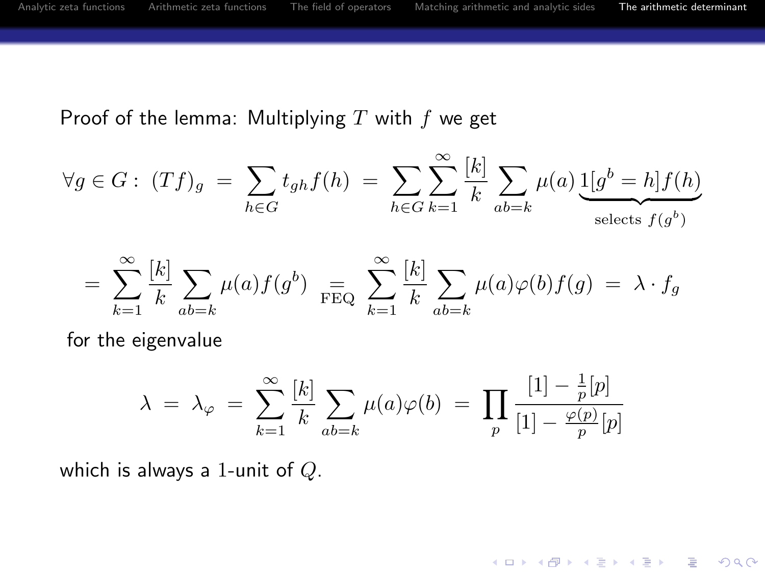# Proof of the lemma: Multiplying  $T$  with  $f$  we get

$$
\forall g \in G: (Tf)_g = \sum_{h \in G} t_{gh} f(h) = \sum_{h \in G} \sum_{k=1}^{\infty} \frac{k!}{k} \sum_{ab=k} \mu(a) \underbrace{1[g^b = h] f(h)}_{\text{selects } f(g^b)}
$$

$$
= \sum_{k=1}^{\infty} \frac{[k]}{k} \sum_{ab=k} \mu(a) f(g^{b}) \sum_{\text{FEQ}} \sum_{k=1}^{\infty} \frac{[k]}{k} \sum_{ab=k} \mu(a) \varphi(b) f(g) = \lambda \cdot f_g
$$

for the eigenvalue

$$
\lambda = \lambda_{\varphi} = \sum_{k=1}^{\infty} \frac{[k]}{k} \sum_{ab=k} \mu(a)\varphi(b) = \prod_{p} \frac{[1] - \frac{1}{p}[p]}{[1] - \frac{\varphi(p)}{p}[p]}
$$

which is always a 1-unit of  $Q$ .

K ロ ▶ K @ ▶ K 할 ▶ K 할 ▶ | 할 | © 9 Q @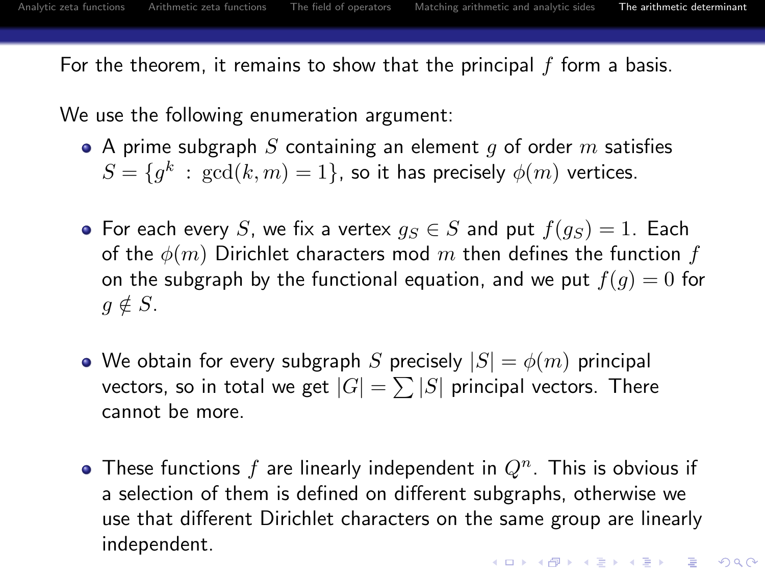For the theorem, it remains to show that the principal  $f$  form a basis.

We use the following enumeration argument:

- A prime subgraph S containing an element q of order m satisfies  $S=\{g^{k}\::\: \gcd(k,m)=1\},$  so it has precisely  $\phi(m)$  vertices.
- For each every S, we fix a vertex  $q_S \in S$  and put  $f(q_S) = 1$ . Each of the  $\phi(m)$  Dirichlet characters mod m then defines the function f on the subgraph by the functional equation, and we put  $f(q) = 0$  for  $g \notin S$ .
- We obtain for every subgraph S precisely  $|S| = \phi(m)$  principal vectors, so in total we get  $|G|=\sum |S|$  principal vectors. There cannot be more.
- <span id="page-47-0"></span>• These functions f are linearly independent in  $Q<sup>n</sup>$ . This is obvious if a selection of them is defined on different subgraphs, otherwise we use that different Dirichlet characters on the same group are linearly independent.**KORKAR KERKER E VOOR**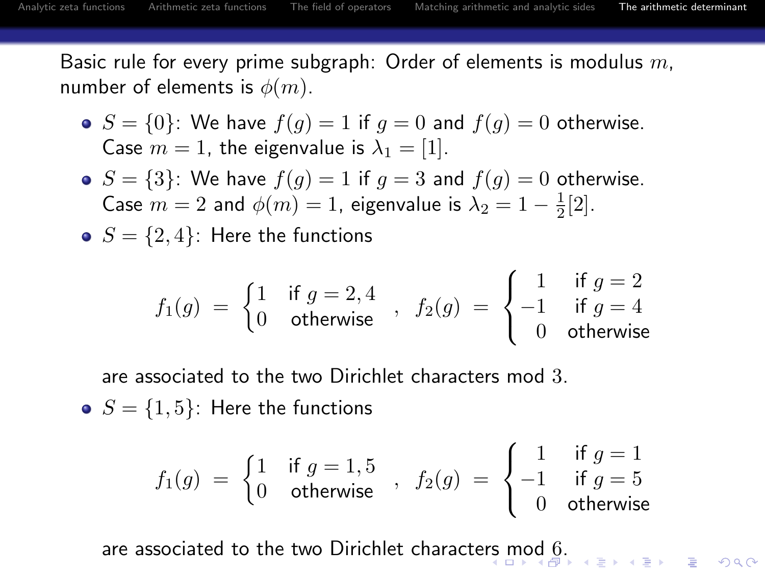Basic rule for every prime subgraph: Order of elements is modulus  $m$ . number of elements is  $\phi(m)$ .

- $S = \{0\}$ : We have  $f(g) = 1$  if  $g = 0$  and  $f(g) = 0$  otherwise. Case  $m = 1$ , the eigenvalue is  $\lambda_1 = [1]$ .
- $\bullet$   $S = \{3\}$ : We have  $f(g) = 1$  if  $g = 3$  and  $f(g) = 0$  otherwise. Case  $m = 2$  and  $\phi(m) = 1$ , eigenvalue is  $\lambda_2 = 1 - \frac{1}{2}[2]$ .
- $S = \{2, 4\}$ : Here the functions

$$
f_1(g) = \begin{cases} 1 & \text{if } g = 2, 4 \\ 0 & \text{otherwise} \end{cases}, \ f_2(g) = \begin{cases} 1 & \text{if } g = 2 \\ -1 & \text{if } g = 4 \\ 0 & \text{otherwise} \end{cases}
$$

are associated to the two Dirichlet characters mod 3.

•  $S = \{1, 5\}$ : Here the functions

$$
f_1(g) = \begin{cases} 1 & \text{if } g = 1, 5 \\ 0 & \text{otherwise} \end{cases}, \ f_2(g) = \begin{cases} 1 & \text{if } g = 1 \\ -1 & \text{if } g = 5 \\ 0 & \text{otherwise} \end{cases}
$$

<span id="page-48-0"></span>are associated to the two Dirichlet characte[rs](#page-47-0) [mo](#page-49-0)[d](#page-47-0) [6](#page-48-0)[.](#page-49-0)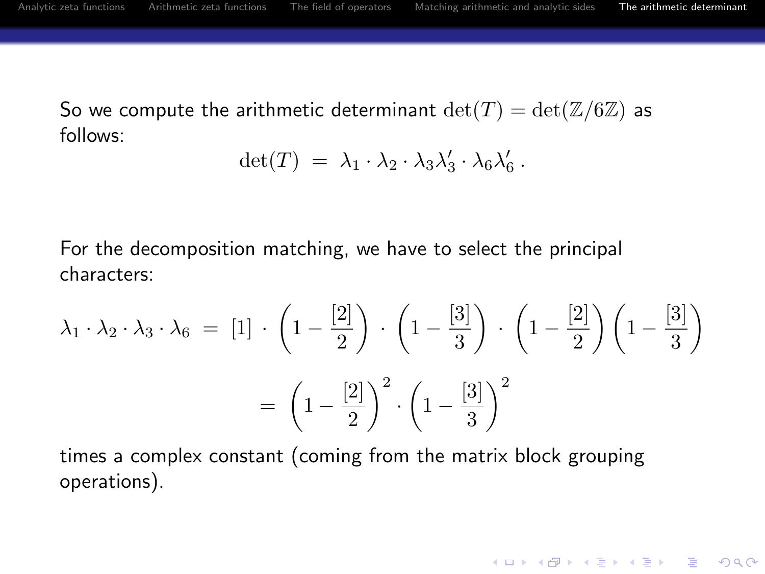**KORK STRATER STRAKES** 

So we compute the arithmetic determinant  $\det(T) = \det(\mathbb{Z}/6\mathbb{Z})$  as follows:

$$
\det(T) = \lambda_1 \cdot \lambda_2 \cdot \lambda_3 \lambda'_3 \cdot \lambda_6 \lambda'_6.
$$

For the decomposition matching, we have to select the principal characters:

$$
\lambda_1 \cdot \lambda_2 \cdot \lambda_3 \cdot \lambda_6 = [1] \cdot \left(1 - \frac{[2]}{2}\right) \cdot \left(1 - \frac{[3]}{3}\right) \cdot \left(1 - \frac{[2]}{2}\right) \left(1 - \frac{[3]}{3}\right)
$$

$$
= \left(1 - \frac{[2]}{2}\right)^2 \cdot \left(1 - \frac{[3]}{3}\right)^2
$$

<span id="page-49-0"></span>times a complex constant (coming from the matrix block grouping operations).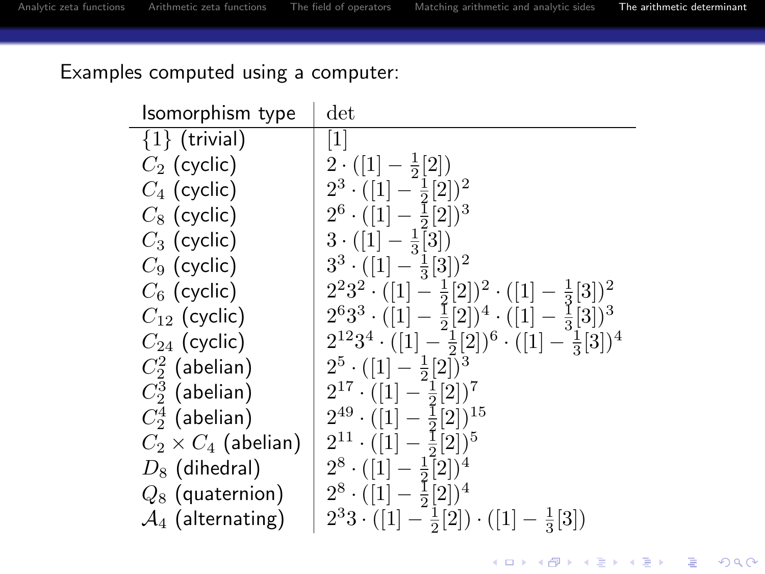<span id="page-50-0"></span> $\sim$ 

K ロ ▶ K @ ▶ K 할 > K 할 > 1 할 > 1 이익어

# Examples computed using a computer:

| Isomorphism type              | $_{\rm det}$                                                               |
|-------------------------------|----------------------------------------------------------------------------|
| $\{1\}$ (trivial)             | $[1]$                                                                      |
| $C_2$ (cyclic)                | $2 \cdot ([1] - \frac{1}{2}[2])$                                           |
| $C_4$ (cyclic)                | $2^3 \cdot ([1] - \frac{1}{2}[2])^2$                                       |
| $C_8$ (cyclic)                | $2^6 \cdot ([1] - \frac{1}{2}[2])^3$                                       |
| $C_3$ (cyclic)                | $3 \cdot ([1] - \frac{1}{3}[3])$                                           |
| $C_9$ (cyclic)                | $3^3 \cdot ([1] - \frac{1}{3}[3])^2$                                       |
| $C_6$ (cyclic)                | $2^{2}3^{2} \cdot ([1]-\frac{1}{2}[2])^{2} \cdot ([1]-\frac{1}{3}[3])^{2}$ |
| $C_{12}$ (cyclic)             | $2^{6}3^{3}\cdot([1]-\frac{1}{2}[2])^{4}\cdot([1]-\frac{1}{3}[3])^{3}$     |
| $C_{24}$ (cyclic)             | $2^{12}3^4 \cdot ([1]-\frac{1}{2}[2])^6 \cdot ([1]-\frac{1}{2}[3])^4$      |
| $C_2^2$ (abelian)             | $2^5 \cdot ([1] - \frac{1}{2} [2])^3$                                      |
| $C_2^3$ (abelian)             | $2^{17} \cdot ([1] - \frac{1}{2}[2])^7$                                    |
| $C_2^4$ (abelian)             | $2^{49} \cdot ([1] - \frac{1}{2}[2])^{15}$                                 |
| $C_2 \times C_4$ (abelian)    | $2^{11} \cdot ([1] - \frac{1}{2}[2])^5$                                    |
| $D_8$ (dihedral)              | $2^8 \cdot ([1] - \frac{1}{2}[2])^4$                                       |
| $Q_8$ (quaternion)            | $2^8 \cdot ([1] - \frac{1}{2}[2])^4$                                       |
| $\mathcal{A}_4$ (alternating) | $2^33 \cdot ([1] - \frac{1}{2}[2]) \cdot ([1] - \frac{1}{3}[3])$           |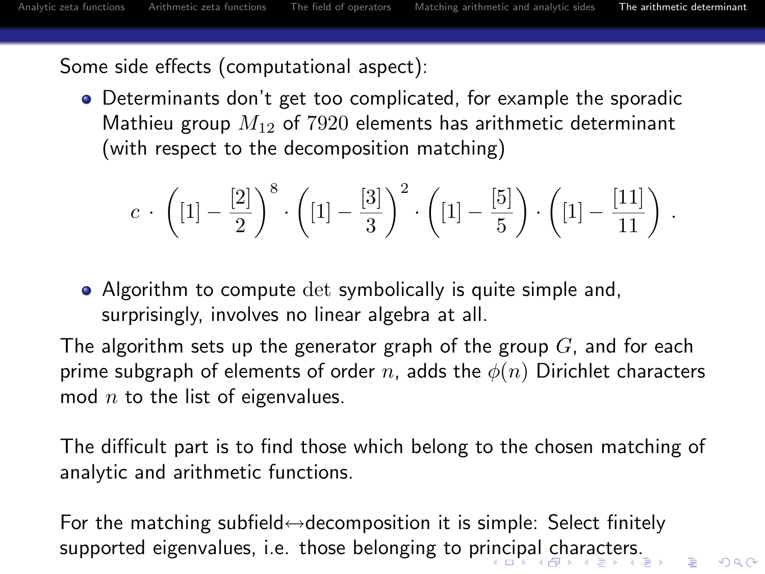$\Omega$ 

Some side effects (computational aspect):

Determinants don't get too complicated, for example the sporadic Mathieu group  $M_{12}$  of 7920 elements has arithmetic determinant (with respect to the decomposition matching)

$$
c \cdot \left( [1] - \frac{[2]}{2} \right)^8 \cdot \left( [1] - \frac{[3]}{3} \right)^2 \cdot \left( [1] - \frac{[5]}{5} \right) \cdot \left( [1] - \frac{[11]}{11} \right) .
$$

• Algorithm to compute det symbolically is quite simple and, surprisingly, involves no linear algebra at all.

The algorithm sets up the generator graph of the group  $G$ , and for each prime subgraph of elements of order n, adds the  $\phi(n)$  Dirichlet characters mod  $n$  to the list of eigenvalues.

The difficult part is to find those which belong to the chosen matching of analytic and arithmetic functions.

<span id="page-51-0"></span>For the matching subfield $\leftrightarrow$ decomposition it is simple: Select finitely supported eigenvalues, i.e. those belonging to pr[inc](#page-50-0)i[pa](#page-52-0)[l](#page-50-0) [ch](#page-51-0)[a](#page-52-0)[r](#page-37-0)[ac](#page-38-0)[te](#page-53-0)[rs](#page-37-0)[.](#page-38-0)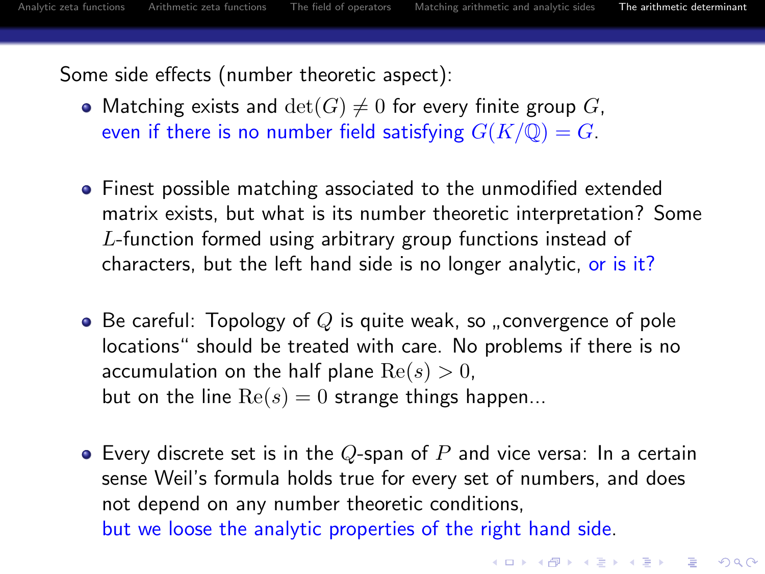**KORK ERKER ADAM ADA** 

Some side effects (number theoretic aspect):

- Matching exists and  $\det(G) \neq 0$  for every finite group G, even if there is no number field satisfying  $G(K/\mathbb{Q}) = G$ .
- Finest possible matching associated to the unmodified extended matrix exists, but what is its number theoretic interpretation? Some L-function formed using arbitrary group functions instead of characters, but the left hand side is no longer analytic, or is it?
- Be careful: Topology of  $Q$  is quite weak, so "convergence of pole<br>locations" chould be treated with eare. No problems if there is no locations" should be treated with care. No problems if there is no accumulation on the half plane  $Re(s) > 0$ , but on the line  $Re(s) = 0$  strange things happen...
- <span id="page-52-0"></span>• Every discrete set is in the Q-span of P and vice versa: In a certain sense Weil's formula holds true for every set of numbers, and does not depend on any number theoretic conditions, but we loose the analytic properties of the right hand side.